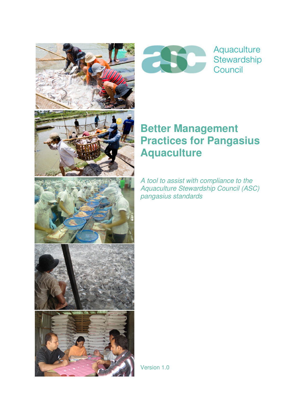







Aquaculture Stewardship Council

# **Better Management Practices for Pangasius Aquaculture**

A tool to assist with compliance to the Aquaculture Stewardship Council (ASC) pangasius standards

Version 1.0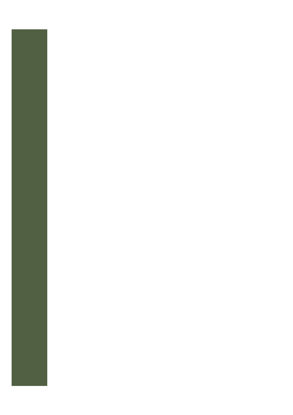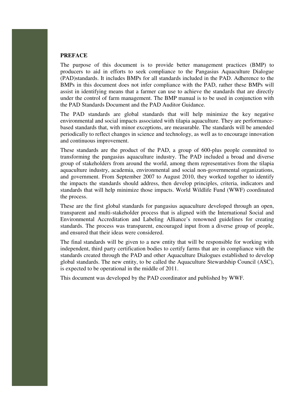#### **PREFACE**

The purpose of this document is to provide better management practices (BMP) to producers to aid in efforts to seek compliance to the Pangasius Aquaculture Dialogue (PAD)standards. It includes BMPs for all standards included in the PAD. Adherence to the BMPs in this document does not infer compliance with the PAD, rather these BMPs will assist in identifying means that a farmer can use to achieve the standards that are directly under the control of farm management. The BMP manual is to be used in conjunction with the PAD Standards Document and the PAD Auditor Guidance.

The PAD standards are global standards that will help minimize the key negative environmental and social impacts associated with tilapia aquaculture. They are performancebased standards that, with minor exceptions, are measurable. The standards will be amended periodically to reflect changes in science and technology, as well as to encourage innovation and continuous improvement.

These standards are the product of the PAD, a group of 600-plus people committed to transforming the pangasius aquaculture industry. The PAD included a broad and diverse group of stakeholders from around the world, among them representatives from the tilapia aquaculture industry, academia, environmental and social non-governmental organizations, and government. From September 2007 to August 2010, they worked together to identify the impacts the standards should address, then develop principles, criteria, indicators and standards that will help minimize those impacts. World Wildlife Fund (WWF) coordinated the process.

These are the first global standards for pangasius aquaculture developed through an open, transparent and multi-stakeholder process that is aligned with the International Social and Environmental Accreditation and Labeling Alliance's renowned guidelines for creating standards. The process was transparent, encouraged input from a diverse group of people, and ensured that their ideas were considered.

The final standards will be given to a new entity that will be responsible for working with independent, third party certification bodies to certify farms that are in compliance with the standards created through the PAD and other Aquaculture Dialogues established to develop global standards. The new entity, to be called the Aquaculture Stewardship Council (ASC), is expected to be operational in the middle of 2011.

This document was developed by the PAD coordinator and published by WWF.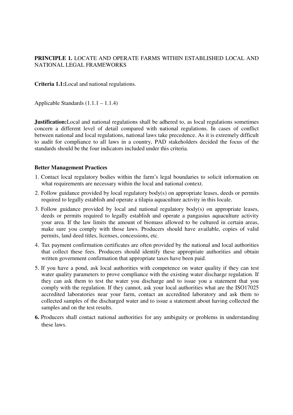## **PRINCIPLE 1.** LOCATE AND OPERATE FARMS WITHIN ESTABLISHED LOCAL AND NATIONAL LEGAL FRAMEWORKS

**Criteria 1.1:**Local and national regulations.

Applicable Standards (1.1.1 – 1.1.4)

**Justification:**Local and national regulations shall be adhered to, as local regulations sometimes concern a different level of detail compared with national regulations. In cases of conflict between national and local regulations, national laws take precedence. As it is extremely difficult to audit for compliance to all laws in a country, PAD stakeholders decided the focus of the standards should be the four indicators included under this criteria.

- 1. Contact local regulatory bodies within the farm's legal boundaries to solicit information on what requirements are necessary within the local and national context.
- 2. Follow guidance provided by local regulatory body(s) on appropriate leases, deeds or permits required to legally establish and operate a tilapia aquaculture activity in this locale.
- 3. Follow guidance provided by local and national regulatory body(s) on appropriate leases, deeds or permits required to legally establish and operate a pangasius aquaculture activity your area. If the law limits the amount of biomass allowed to be cultured in certain areas, make sure you comply with those laws. Producers should have available, copies of valid permits, land deed titles, licenses, concessions, etc.
- 4. Tax payment confirmation certificates are often provided by the national and local authorities that collect these fees. Producers should identify these appropriate authorities and obtain written government confirmation that appropriate taxes have been paid.
- 5. If you have a pond, ask local authorities with competence on water quality if they can test water quality parameters to prove compliance with the existing water discharge regulation. If they can ask them to test the water you discharge and to issue you a statement that you comply with the regulation. If they cannot, ask your local authorities what are the ISO17025 accredited laboratories near your farm, contact an accredited laboratory and ask them to collected samples of the discharged water and to issue a statement about having collected the samples and on the test results.
- **6.** Producers shall contact national authorities for any ambiguity or problems in understanding these laws.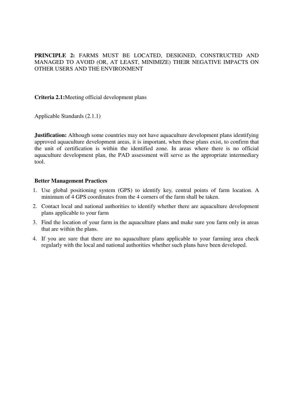## **PRINCIPLE 2:** FARMS MUST BE LOCATED, DESIGNED, CONSTRUCTED AND MANAGED TO AVOID (OR, AT LEAST, MINIMIZE) THEIR NEGATIVE IMPACTS ON OTHER USERS AND THE ENVIRONMENT

**Criteria 2.1:**Meeting official development plans

Applicable Standards (2.1.1)

**Justification:** Although some countries may not have aquaculture development plans identifying approved aquaculture development areas, it is important, when these plans exist, to confirm that the unit of certification is within the identified zone. In areas where there is no official aquaculture development plan, the PAD assessment will serve as the appropriate intermediary tool.

- 1. Use global positioning system (GPS) to identify key, central points of farm location. A minimum of 4 GPS coordinates from the 4 corners of the farm shall be taken.
- 2. Contact local and national authorities to identify whether there are aquaculture development plans applicable to your farm
- 3. Find the location of your farm in the aquaculture plans and make sure you farm only in areas that are within the plans.
- 4. If you are sure that there are no aquaculture plans applicable to your farming area check regularly with the local and national authorities whether such plans have been developed.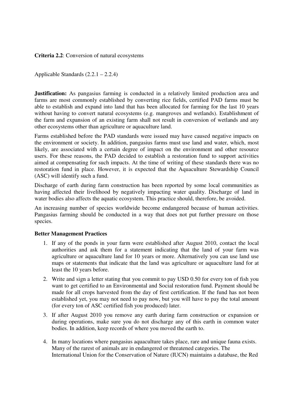**Criteria 2.2**: Conversion of natural ecosystems

Applicable Standards (2.2.1 – 2.2.4)

**Justification:** As pangasius farming is conducted in a relatively limited production area and farms are most commonly established by converting rice fields, certified PAD farms must be able to establish and expand into land that has been allocated for farming for the last 10 years without having to convert natural ecosystems (e.g. mangroves and wetlands). Establishment of the farm and expansion of an existing farm shall not result in conversion of wetlands and any other ecosystems other than agriculture or aquaculture land.

Farms established before the PAD standards were issued may have caused negative impacts on the environment or society. In addition, pangasius farms must use land and water, which, most likely, are associated with a certain degree of impact on the environment and other resource users. For these reasons, the PAD decided to establish a restoration fund to support activities aimed at compensating for such impacts. At the time of writing of these standards there was no restoration fund in place. However, it is expected that the Aquaculture Stewardship Council (ASC) will identify such a fund.

Discharge of earth during farm construction has been reported by some local communities as having affected their livelihood by negatively impacting water quality. Discharge of land in water bodies also affects the aquatic ecosystem. This practice should, therefore, be avoided.

An increasing number of species worldwide become endangered because of human activities. Pangasius farming should be conducted in a way that does not put further pressure on those species.

- 1. If any of the ponds in your farm were established after August 2010, contact the local authorities and ask them for a statement indicating that the land of your farm was agriculture or aquaculture land for 10 years or more. Alternatively you can use land use maps or statements that indicate that the land was agriculture or aquaculture land for at least the 10 years before.
- 2. Write and sign a letter stating that you commit to pay USD 0.50 for every ton of fish you want to get certified to an Environmental and Social restoration fund. Payment should be made for all crops harvested from the day of first certification. If the fund has not been established yet, you may not need to pay now, but you will have to pay the total amount (for every ton of ASC certified fish you produced) later.
- 3. If after August 2010 you remove any earth during farm construction or expansion or during operations, make sure you do not discharge any of this earth in common water bodies. In addition, keep records of where you moved the earth to.
- 4. In many locations where pangasius aquaculture takes place, rare and unique fauna exists. Many of the rarest of animals are in endangered or threatened categories. The International Union for the Conservation of Nature (IUCN) maintains a database, the Red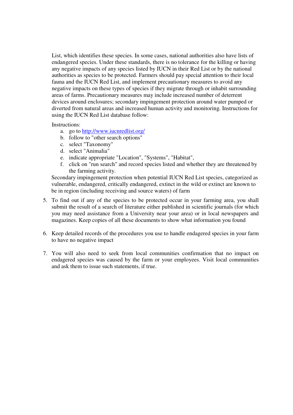List, which identifies these species. In some cases, national authorities also have lists of endangered species. Under these standards, there is no tolerance for the killing or having any negative impacts of any species listed by IUCN in their Red List or by the national authorities as species to be protected. Farmers should pay special attention to their local fauna and the IUCN Red List, and implement precautionary measures to avoid any negative impacts on these types of species if they migrate through or inhabit surrounding areas of farms. Precautionary measures may include increased number of deterrent devices around enclosures; secondary impingement protection around water pumped or diverted from natural areas and increased human activity and monitoring. Instructions for using the IUCN Red List database follow:

#### Instructions:

- a. go to http://www.iucnredlist.org/
- b. follow to "other search options"
- c. select "Taxonomy"
- d. select "Animalia"
- e. indicate appropriate "Location", "Systems", "Habitat",
- f. click on "run search" and record species listed and whether they are threatened by the farming activity.

Secondary impingement protection when potential IUCN Red List species, categorized as vulnerable, endangered, critically endangered, extinct in the wild or extinct are known to be in region (including receiving and source waters) of farm

- 5. To find out if any of the species to be protected occur in your farming area, you shall submit the result of a search of literature either published in scientific journals (for which you may need assistance from a University near your area) or in local newspapers and magazines. Keep copies of all these documents to show what information you found
- 6. Keep detailed records of the procedures you use to handle endagered species in your farm to have no negative impact
- 7. You will also need to seek from local communities confirmation that no impact on endagered species was caused by the farm or your employees. Visit local communities and ask them to issue such statements, if true.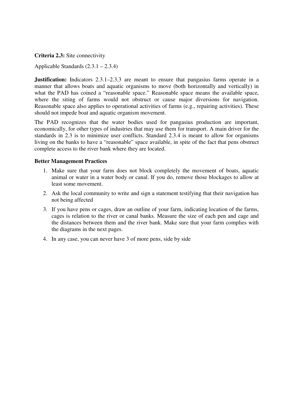**Criteria 2.3:** Site connectivity

Applicable Standards (2.3.1 – 2.3.4)

**Justification:** Indicators 2.3.1–2.3.3 are meant to ensure that pangasius farms operate in a manner that allows boats and aquatic organisms to move (both horizontally and vertically) in what the PAD has coined a "reasonable space." Reasonable space means the available space, where the siting of farms would not obstruct or cause major diversions for navigation. Reasonable space also applies to operational activities of farms (e.g., repairing activities). These should not impede boat and aquatic organism movement.

The PAD recognizes that the water bodies used for pangasius production are important, economically, for other types of industries that may use them for transport. A main driver for the standards in 2.3 is to minimize user conflicts. Standard 2.3.4 is meant to allow for organisms living on the banks to have a "reasonable" space available, in spite of the fact that pens obstruct complete access to the river bank where they are located.

- 1. Make sure that your farm does not block completely the movement of boats, aquatic animal or water in a water body or canal. If you do, remove those blockages to allow at least some movement.
- 2. Ask the local community to write and sign a statement testifying that their navigation has not being affected
- 3. If you have pens or cages, draw an outline of your farm, indicating location of the farms, cages is relation to the river or canal banks. Measure the size of each pen and cage and the distances between them and the river bank. Make sure that your farm complies with the diagrams in the next pages.
- 4. In any case, you can never have 3 of more pens, side by side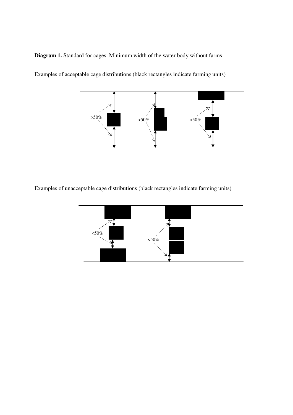**Diagram 1.** Standard for cages. Minimum width of the water body without farms



Examples of acceptable cage distributions (black rectangles indicate farming units)

Examples of unacceptable cage distributions (black rectangles indicate farming units)

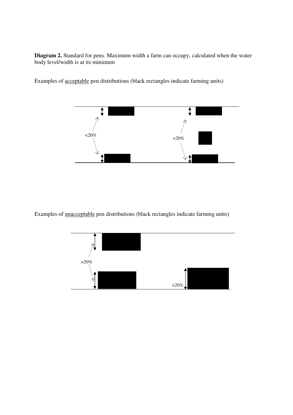**Diagram 2.** Standard for pens. Maximum width a farm can occupy, calculated when the water body level/width is at its minimum

Examples of acceptable pen distributions (black rectangles indicate farming units)



Examples of unacceptable pen distributions (black rectangles indicate farming units)

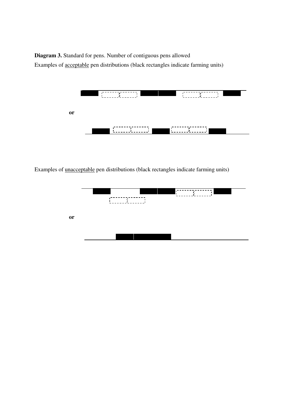**Diagram 3.** Standard for pens. Number of contiguous pens allowed Examples of acceptable pen distributions (black rectangles indicate farming units)



Examples of unacceptable pen distributions (black rectangles indicate farming units)

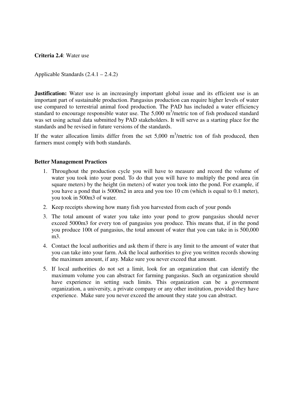## **Criteria 2.4**: Water use

Applicable Standards (2.4.1 – 2.4.2)

**Justification:** Water use is an increasingly important global issue and its efficient use is an important part of sustainable production. Pangasius production can require higher levels of water use compared to terrestrial animal food production. The PAD has included a water efficiency standard to encourage responsible water use. The  $5,000 \text{ m}^3/\text{metric}$  ton of fish produced standard was set using actual data submitted by PAD stakeholders. It will serve as a starting place for the standards and be revised in future versions of the standards.

If the water allocation limits differ from the set  $5,000 \text{ m}^3/\text{metric}$  ton of fish produced, then farmers must comply with both standards.

- 1. Throughout the production cycle you will have to measure and record the volume of water you took into your pond. To do that you will have to multiply the pond area (in square meters) by the height (in meters) of water you took into the pond. For example, if you have a pond that is 5000m2 in area and you too 10 cm (which is equal to 0.1 meter), you took in 500m3 of water.
- 2. Keep receipts showing how many fish you harvested from each of your ponds
- 3. The total amount of water you take into your pond to grow pangasius should never exceed 5000m3 for every ton of pangasius you produce. This means that, if in the pond you produce 100t of pangasius, the total amount of water that you can take in is 500,000 m3.
- 4. Contact the local authorities and ask them if there is any limit to the amount of water that you can take into your farm. Ask the local authorities to give you written records showing the maximum amount, if any. Make sure you never exceed that amount.
- 5. If local authorities do not set a limit, look for an organization that can identify the maximum volume you can abstract for farming pangasius. Such an organization should have experience in setting such limits. This organization can be a government organization, a university, a private company or any other institution, provided they have experience. Make sure you never exceed the amount they state you can abstract.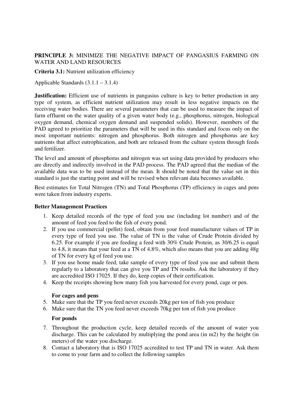## **PRINCIPLE 3:** MINIMIZE THE NEGATIVE IMPACT OF PANGASIUS FARMING ON WATER AND LAND RESOURCES

**Criteria 3.1:** Nutrient utilization efficiency

Applicable Standards (3.1.1 – 3.1.4)

**Justification:** Efficient use of nutrients in pangasius culture is key to better production in any type of system, as efficient nutrient utilization may result in less negative impacts on the receiving water bodies. There are several parameters that can be used to measure the impact of farm effluent on the water quality of a given water body (e.g., phosphorus, nitrogen, biological oxygen demand, chemical oxygen demand and suspended solids). However, members of the PAD agreed to prioritize the parameters that will be used in this standard and focus only on the most important nutrients: nitrogen and phosphorus. Both nitrogen and phosphorus are key nutrients that affect eutrophication, and both are released from the culture system through feeds and fertilizer.

The level and amount of phosphorus and nitrogen was set using data provided by producers who are directly and indirectly involved in the PAD process. The PAD agreed that the median of the available data was to be used instead of the mean. It should be noted that the value set in this standard is just the starting point and will be revised when relevant data becomes available.

Best estimates for Total Nitrogen (TN) and Total Phosphorus (TP) efficiency in cages and pens were taken from industry experts.

## **Better Management Practices**

- 1. Keep detailed records of the type of feed you use (including lot number) and of the amount of feed you feed to the fish of every pond.
- 2. If you use commercial (pellet) feed, obtain from your feed manufacturer values of TP in every type of feed you use. The value of TN is the value of Crude Protein divided by 6.25. For example if you are feeding a feed with 30% Crude Protein, as 30/6.25 is equal to 4.8, it means that your feed at a TN of 4.8%, which also means that you are adding 48g of TN for every kg of feed you use.
- 3. If you use home made feed, take sample of every type of feed you use and submit them regularly to a laboratory that can give you TP and TN results. Ask the laboratory if they are accredited ISO 17025. If they do, keep copies of their certification.
- 4. Keep the receipts showing how many fish you harvested for every pond, cage or pen.

## **For cages and pens**

- 5. Make sure that the TP you feed never exceeds 20kg per ton of fish you produce
- 6. Make sure that the TN you feed never exceeds 70kg per ton of fish you produce

## **For ponds**

- 7. Throughout the production cycle, keep detailed records of the amount of water you discharge. This can be calculated by multiplying the pond area (in m2) by the height (in meters) of the water you discharge.
- 8. Contact a laboratory that is ISO 17025 accredited to test TP and TN in water. Ask them to come to your farm and to collect the following samples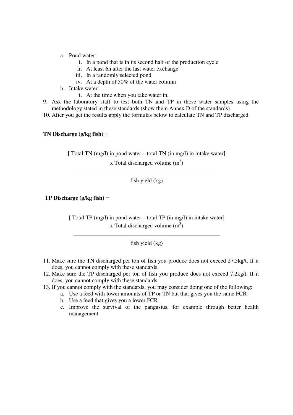- a. Pond water:
	- i. In a pond that is in its second half of the production cycle
	- ii. At least 6h after the last water exchange
	- iii. In a randomly selected pond
	- iv. At a depth of 50% of the water column
- b. Intake water:
	- i. At the time when you take water in.
- 9. Ask the laboratory staff to test both TN and TP in those water samples using the methodology stated in these standards (show them Annex D of the standards)
- 10. After you get the results apply the formulas below to calculate TN and TP discharged

**TN Discharge (g/kg fish)** =

[ Total TN (mg/l) in pond water – total TN (in mg/l) in intake water]

x Total discharged volume  $(m<sup>3</sup>)$ 

fish yield (kg)

**TP Discharge (g/kg fish)** =

[ Total TP (mg/l) in pond water – total TP (in mg/l) in intake water] x Total discharged volume  $(m<sup>3</sup>)$ 

fish yield (kg)

- 11. Make sure the TN discharged per ton of fish you produce does not exceed 27.5kg/t. If it does, you cannot comply with these standards.
- 12. Make sure the TP discharged per ton of fish you produce does not exceed 7.2kg/t. If it does, you cannot comply with these standards.
- 13. If you cannot comply with the standards, you may consider doing one of the following:
	- a. Use a feed with lower amounts of TP or TN but that gives you the same FCR
	- b. Use a feed that gives you a lower FCR
	- c. Improve the survival of the pangasius, for example through better health management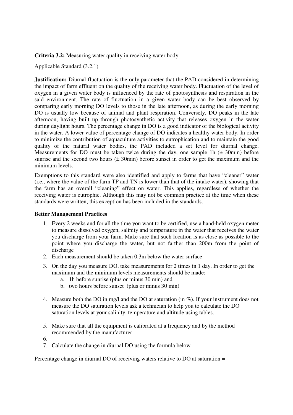**Criteria 3.2:** Measuring water quality in receiving water body

Applicable Standard (3.2.1)

**Justification:** Diurnal fluctuation is the only parameter that the PAD considered in determining the impact of farm effluent on the quality of the receiving water body. Fluctuation of the level of oxygen in a given water body is influenced by the rate of photosynthesis and respiration in the said environment. The rate of fluctuation in a given water body can be best observed by comparing early morning DO levels to those in the late afternoon, as during the early morning DO is usually low because of animal and plant respiration. Conversely, DO peaks in the late afternoon, having built up through photosynthetic activity that releases oxygen in the water during daylight hours. The percentage change in DO is a good indicator of the biological activity in the water. A lower value of percentage change of DO indicates a healthy water body. In order to minimize the contribution of aquaculture activities to eutrophication and to maintain the good quality of the natural water bodies, the PAD included a set level for diurnal change. Measurements for DO must be taken twice during the day, one sample 1h  $(\pm 30)$ min) before sunrise and the second two hours  $(\pm 30$ min) before sunset in order to get the maximum and the minimum levels.

Exemptions to this standard were also identified and apply to farms that have "cleaner" water (i.e., where the value of the farm TP and TN is lower than that of the intake water), showing that the farm has an overall "cleaning" effect on water. This applies, regardless of whether the receiving water is eutrophic. Although this may not be common practice at the time when these standards were written, this exception has been included in the standards.

## **Better Management Practices**

- 1. Every 2 weeks and for all the time you want to be certified, use a hand-held oxygen meter to measure dissolved oxygen, salinity and temperature in the water that receives the water you discharge from your farm. Make sure that such location is as close as possible to the point where you discharge the water, but not farther than 200m from the point of discharge
- 2. Each measurement should be taken 0.3m below the water surface
- 3. On the day you measure DO, take measurements for 2 times in 1 day. In order to get the maximum and the minimum levels measurements should be made:
	- a. 1h before sunrise (plus or minus 30 min) and
	- b. two hours before sunset (plus or minus 30 min)
- 4. Measure both the DO in mg/l and the DO at saturation (in %). If your instrument does not measure the DO saturation levels ask a technician to help you to calculate the DO saturation levels at your salinity, temperature and altitude using tables.
- 5. Make sure that all the equipment is calibrated at a frequency and by the method recommended by the manufacturer.
- 6.
- 7. Calculate the change in diurnal DO using the formula below

Percentage change in diurnal DO of receiving waters relative to DO at saturation =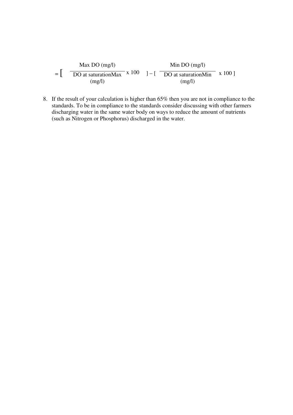$$
= \left[ \begin{array}{cc} \text{Max DO (mg/l)} \\ \text{DO at saturationMax} \\ \text{(mg/l)} \end{array} \right] - \left[ \begin{array}{cc} \text{Min DO (mg/l)} \\ \text{DO at saturationMin} \\ \text{(mg/l)} \end{array} \right] \times 100 \left]
$$

8. If the result of your calculation is higher than 65% then you are not in compliance to the standards. To be in compliance to the standards consider discussing with other farmers discharging water in the same water body on ways to reduce the amount of nutrients (such as Nitrogen or Phosphorus) discharged in the water.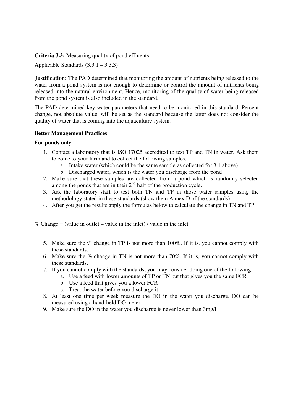**Criteria 3.3:** Measuring quality of pond effluents

Applicable Standards (3.3.1 – 3.3.3)

**Justification:** The PAD determined that monitoring the amount of nutrients being released to the water from a pond system is not enough to determine or control the amount of nutrients being released into the natural environment. Hence, monitoring of the quality of water being released from the pond system is also included in the standard.

The PAD determined key water parameters that need to be monitored in this standard. Percent change, not absolute value, will be set as the standard because the latter does not consider the quality of water that is coming into the aquaculture system.

#### **Better Management Practices**

#### **For ponds only**

- 1. Contact a laboratory that is ISO 17025 accredited to test TP and TN in water. Ask them to come to your farm and to collect the following samples.
	- a. Intake water (which could be the same sample as collected for 3.1 above)
	- b. Discharged water, which is the water you discharge from the pond
- 2. Make sure that these samples are collected from a pond which is randomly selected among the ponds that are in their  $2<sup>nd</sup>$  half of the production cycle.
- 3. Ask the laboratory staff to test both TN and TP in those water samples using the methodology stated in these standards (show them Annex D of the standards)
- 4. After you get the results apply the formulas below to calculate the change in TN and TP

% Change  $=$  (value in outlet – value in the inlet) / value in the inlet

- 5. Make sure the % change in TP is not more than 100%. If it is, you cannot comply with these standards.
- 6. Make sure the % change in TN is not more than 70%. If it is, you cannot comply with these standards.
- 7. If you cannot comply with the standards, you may consider doing one of the following:
	- a. Use a feed with lower amounts of TP or TN but that gives you the same FCR
	- b. Use a feed that gives you a lower FCR
	- c. Treat the water before you discharge it
- 8. At least one time per week measure the DO in the water you discharge. DO can be measured using a hand-held DO meter.
- 9. Make sure the DO in the water you discharge is never lower than 3mg/l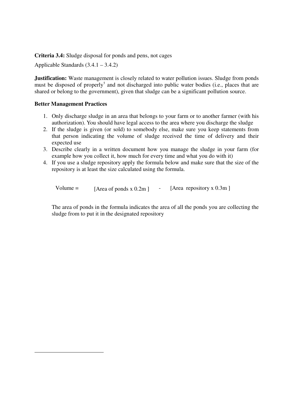**Criteria 3.4:** Sludge disposal for ponds and pens, not cages

Applicable Standards (3.4.1 – 3.4.2)

**Justification:** Waste management is closely related to water pollution issues. Sludge from ponds must be disposed of properly<sup>1</sup> and not discharged into public water bodies (i.e., places that are shared or belong to the government), given that sludge can be a significant pollution source.

## **Better Management Practices**

-

- 1. Only discharge sludge in an area that belongs to your farm or to another farmer (with his authorization). You should have legal access to the area where you discharge the sludge
- 2. If the sludge is given (or sold) to somebody else, make sure you keep statements from that person indicating the volume of sludge received the time of delivery and their expected use
- 3. Describe clearly in a written document how you manage the sludge in your farm (for example how you collect it, how much for every time and what you do with it)
- 4. If you use a sludge repository apply the formula below and make sure that the size of the repository is at least the size calculated using the formula.

Volume =  $[Area of bonds x 0.2m] - [Area repository x 0.3m]$ 

The area of ponds in the formula indicates the area of all the ponds you are collecting the sludge from to put it in the designated repository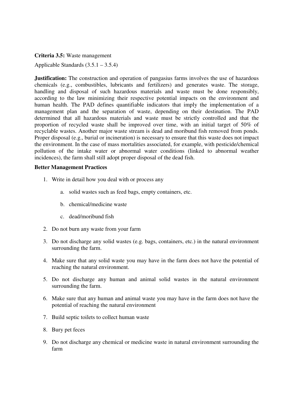**Criteria 3.5:** Waste management

Applicable Standards (3.5.1 – 3.5.4)

**Justification:** The construction and operation of pangasius farms involves the use of hazardous chemicals (e.g., combustibles, lubricants and fertilizers) and generates waste. The storage, handling and disposal of such hazardous materials and waste must be done responsibly, according to the law minimizing their respective potential impacts on the environment and human health. The PAD defines quantifiable indicators that imply the implementation of a management plan and the separation of waste, depending on their destination. The PAD determined that all hazardous materials and waste must be strictly controlled and that the proportion of recycled waste shall be improved over time, with an initial target of 50% of recyclable wastes. Another major waste stream is dead and moribund fish removed from ponds. Proper disposal (e.g., burial or incineration) is necessary to ensure that this waste does not impact the environment. In the case of mass mortalities associated, for example, with pesticide/chemical pollution of the intake water or abnormal water conditions (linked to abnormal weather incidences), the farm shall still adopt proper disposal of the dead fish.

- 1. Write in detail how you deal with or process any
	- a. solid wastes such as feed bags, empty containers, etc.
	- b. chemical/medicine waste
	- c. dead/moribund fish
- 2. Do not burn any waste from your farm
- 3. Do not discharge any solid wastes (e.g. bags, containers, etc.) in the natural environment surrounding the farm.
- 4. Make sure that any solid waste you may have in the farm does not have the potential of reaching the natural environment.
- 5. Do not discharge any human and animal solid wastes in the natural environment surrounding the farm.
- 6. Make sure that any human and animal waste you may have in the farm does not have the potential of reaching the natural environment
- 7. Build septic toilets to collect human waste
- 8. Bury pet feces
- 9. Do not discharge any chemical or medicine waste in natural environment surrounding the farm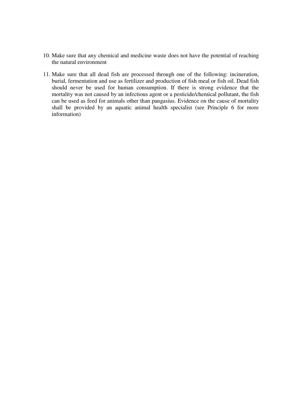- 10. Make sure that any chemical and medicine waste does not have the potential of reaching the natural environment
- 11. Make sure that all dead fish are processed through one of the following: incineration, burial, fermentation and use as fertilizer and production of fish meal or fish oil. Dead fish should never be used for human consumption. If there is strong evidence that the mortality was not caused by an infectious agent or a pesticide/chemical pollutant, the fish can be used as feed for animals other than pangasius. Evidence on the cause of mortality shall be provided by an aquatic animal health specialist (see Principle 6 for more information)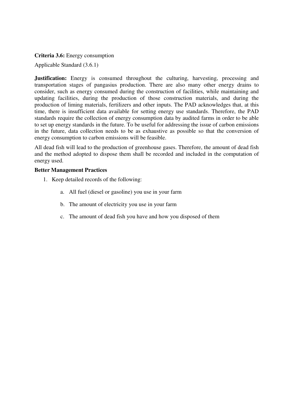**Criteria 3.6:** Energy consumption

Applicable Standard (3.6.1)

**Justification:** Energy is consumed throughout the culturing, harvesting, processing and transportation stages of pangasius production. There are also many other energy drains to consider, such as energy consumed during the construction of facilities, while maintaining and updating facilities, during the production of those construction materials, and during the production of liming materials, fertilizers and other inputs. The PAD acknowledges that, at this time, there is insufficient data available for setting energy use standards. Therefore, the PAD standards require the collection of energy consumption data by audited farms in order to be able to set up energy standards in the future. To be useful for addressing the issue of carbon emissions in the future, data collection needs to be as exhaustive as possible so that the conversion of energy consumption to carbon emissions will be feasible.

All dead fish will lead to the production of greenhouse gases. Therefore, the amount of dead fish and the method adopted to dispose them shall be recorded and included in the computation of energy used.

- 1. Keep detailed records of the following:
	- a. All fuel (diesel or gasoline) you use in your farm
	- b. The amount of electricity you use in your farm
	- c. The amount of dead fish you have and how you disposed of them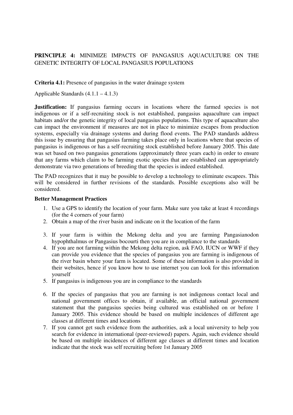# **PRINCIPLE 4:** MINIMIZE IMPACTS OF PANGASIUS AQUACULTURE ON THE GENETIC INTEGRITY OF LOCAL PANGASIUS POPULATIONS

#### **Criteria 4.1:** Presence of pangasius in the water drainage system

Applicable Standards (4.1.1 – 4.1.3)

**Justification:** If pangasius farming occurs in locations where the farmed species is not indigenous or if a self-recruiting stock is not established, pangasius aquaculture can impact habitats and/or the genetic integrity of local pangasius populations. This type of aquaculture also can impact the environment if measures are not in place to minimize escapes from production systems, especially via drainage systems and during flood events. The PAD standards address this issue by ensuring that pangasius farming takes place only in locations where that species of pangasius is indigenous or has a self-recruiting stock established before January 2005. This date was set based on two pangasius generations (approximately three years each) in order to ensure that any farms which claim to be farming exotic species that are established can appropriately demonstrate via two generations of breeding that the species is indeed established.

The PAD recognizes that it may be possible to develop a technology to eliminate escapees. This will be considered in further revisions of the standards. Possible exceptions also will be considered.

- 1. Use a GPS to identify the location of your farm. Make sure you take at least 4 recordings (for the 4 corners of your farm)
- 2. Obtain a map of the river basin and indicate on it the location of the farm
- 3. If your farm is within the Mekong delta and you are farming Pangasianodon hypophthalmus or Pangasius bocourti then you are in compliance to the standards
- 4. If you are not farming within the Mekong delta region, ask FAO, IUCN or WWF if they can provide you evidence that the species of pangasius you are farming is indigenous of the river basin where your farm is located. Some of these information is also provided in their websites, hence if you know how to use internet you can look for this information yourself
- 5. If pangasius is indigenous you are in compliance to the standards
- 6. If the species of pangasius that you are farming is not indigenous contact local and national government offices to obtain, if available, an official national government statement that the pangasius species being cultured was established on or before 1 January 2005. This evidence should be based on multiple incidences of different age classes at different times and locations
- 7. If you cannot get such evidence from the authorities, ask a local university to help you search for evidence in international (peer-reviewed) papers. Again, such evidence should be based on multiple incidences of different age classes at different times and location indicate that the stock was self recruiting before 1st January 2005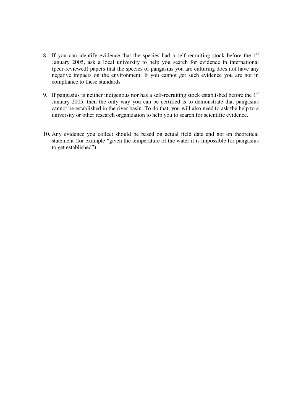- 8. If you can identify evidence that the species had a self-recruiting stock before the  $1<sup>st</sup>$ January 2005, ask a local university to help you search for evidence in international (peer-reviewed) papers that the species of pangasius you are culturing does not have any negative impacts on the environment. If you cannot get such evidence you are not in compliance to these standards
- 9. If pangasius is neither indigenous nor has a self-recruiting stock established before the  $1<sup>st</sup>$ January 2005, then the only way you can be certified is to demonstrate that pangasius cannot be established in the river basin. To do that, you will also need to ask the help to a university or other research organization to help you to search for scientific evidence.
- 10. Any evidence you collect should be based on actual field data and not on theoretical statement (for example "given the temperature of the water it is impossible for pangasius to get established")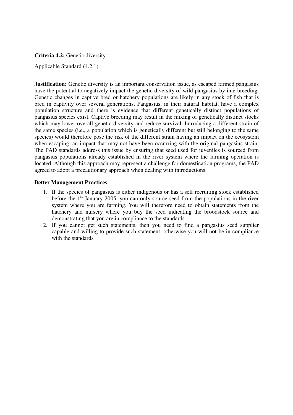## **Criteria 4.2:** Genetic diversity

Applicable Standard (4.2.1)

**Justification:** Genetic diversity is an important conservation issue, as escaped farmed pangasius have the potential to negatively impact the genetic diversity of wild pangasius by interbreeding. Genetic changes in captive bred or hatchery populations are likely in any stock of fish that is bred in captivity over several generations. Pangasius, in their natural habitat, have a complex population structure and there is evidence that different genetically distinct populations of pangasius species exist. Captive breeding may result in the mixing of genetically distinct stocks which may lower overall genetic diversity and reduce survival. Introducing a different strain of the same species (i.e., a population which is genetically different but still belonging to the same species) would therefore pose the risk of the different strain having an impact on the ecosystem when escaping, an impact that may not have been occurring with the original pangasius strain. The PAD standards address this issue by ensuring that seed used for juveniles is sourced from pangasius populations already established in the river system where the farming operation is located. Although this approach may represent a challenge for domestication programs, the PAD agreed to adopt a precautionary approach when dealing with introductions.

- 1. If the species of pangasius is either indigenous or has a self recruiting stock established before the  $1<sup>st</sup>$  January 2005, you can only source seed from the populations in the river system where you are farming. You will therefore need to obtain statements from the hatchery and nursery where you buy the seed indicating the broodstock source and demonstrating that you are in compliance to the standards
- 2. If you cannot get such statements, then you need to find a pangasius seed supplier capable and willing to provide such statement, otherwise you will not be in compliance with the standards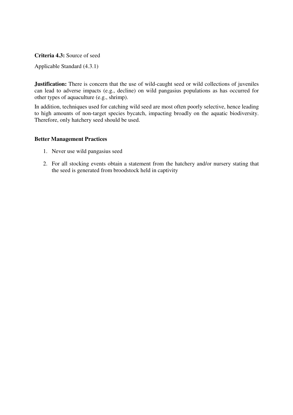**Criteria 4.3:** Source of seed

Applicable Standard (4.3.1)

**Justification:** There is concern that the use of wild-caught seed or wild collections of juveniles can lead to adverse impacts (e.g., decline) on wild pangasius populations as has occurred for other types of aquaculture (e.g., shrimp).

In addition, techniques used for catching wild seed are most often poorly selective, hence leading to high amounts of non-target species bycatch, impacting broadly on the aquatic biodiversity. Therefore, only hatchery seed should be used.

- 1. Never use wild pangasius seed
- 2. For all stocking events obtain a statement from the hatchery and/or nursery stating that the seed is generated from broodstock held in captivity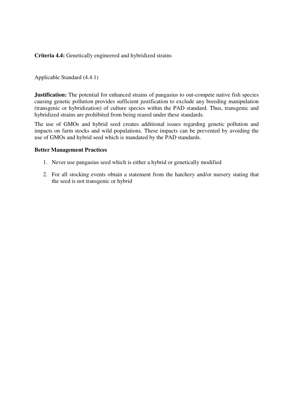**Criteria 4.4:** Genetically engineered and hybridized strains

Applicable Standard (4.4.1)

**Justification:** The potential for enhanced strains of pangasius to out-compete native fish species causing genetic pollution provides sufficient justification to exclude any breeding manipulation (transgenic or hybridization) of culture species within the PAD standard. Thus, transgenic and hybridized strains are prohibited from being reared under these standards.

The use of GMOs and hybrid seed creates additional issues regarding genetic pollution and impacts on farm stocks and wild populations. These impacts can be prevented by avoiding the use of GMOs and hybrid seed which is mandated by the PAD standards.

- 1. Never use pangasius seed which is either a hybrid or genetically modified
- 2. For all stocking events obtain a statement from the hatchery and/or nursery stating that the seed is not transgenic or hybrid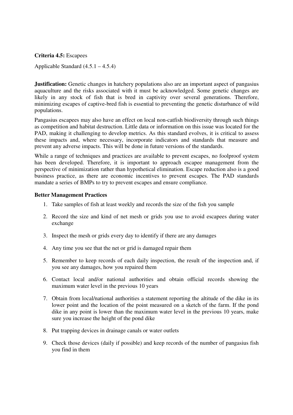**Criteria 4.5:** Escapees

Applicable Standard (4.5.1 – 4.5.4)

**Justification:** Genetic changes in hatchery populations also are an important aspect of pangasius aquaculture and the risks associated with it must be acknowledged. Some genetic changes are likely in any stock of fish that is bred in captivity over several generations. Therefore, minimizing escapes of captive-bred fish is essential to preventing the genetic disturbance of wild populations.

Pangasius escapees may also have an effect on local non-catfish biodiversity through such things as competition and habitat destruction. Little data or information on this issue was located for the PAD, making it challenging to develop metrics. As this standard evolves, it is critical to assess these impacts and, where necessary, incorporate indicators and standards that measure and prevent any adverse impacts. This will be done in future versions of the standards.

While a range of techniques and practices are available to prevent escapes, no foolproof system has been developed. Therefore, it is important to approach escapee management from the perspective of minimization rather than hypothetical elimination. Escape reduction also is a good business practice, as there are economic incentives to prevent escapes. The PAD standards mandate a series of BMPs to try to prevent escapes and ensure compliance.

- 1. Take samples of fish at least weekly and records the size of the fish you sample
- 2. Record the size and kind of net mesh or grids you use to avoid escapees during water exchange
- 3. Inspect the mesh or grids every day to identify if there are any damages
- 4. Any time you see that the net or grid is damaged repair them
- 5. Remember to keep records of each daily inspection, the result of the inspection and, if you see any damages, how you repaired them
- 6. Contact local and/or national authorities and obtain official records showing the maximum water level in the previous 10 years
- 7. Obtain from local/national authorities a statement reporting the altitude of the dike in its lower point and the location of the point measured on a sketch of the farm. If the pond dike in any point is lower than the maximum water level in the previous 10 years, make sure you increase the height of the pond dike
- 8. Put trapping devices in drainage canals or water outlets
- 9. Check those devices (daily if possible) and keep records of the number of pangasius fish you find in them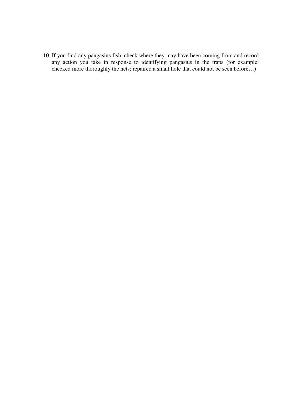10. If you find any pangasius fish, check where they may have been coming from and record any action you take in response to identifying pangasius in the traps (for example: checked more thoroughly the nets; repaired a small hole that could not be seen before…)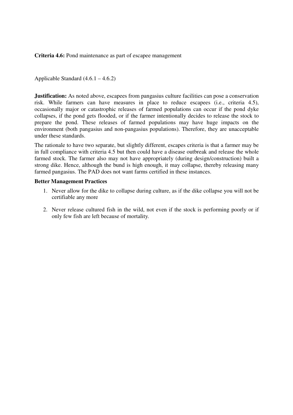**Criteria 4.6:** Pond maintenance as part of escapee management

Applicable Standard  $(4.6.1 - 4.6.2)$ 

**Justification:** As noted above, escapees from pangasius culture facilities can pose a conservation risk. While farmers can have measures in place to reduce escapees (i.e., criteria 4.5), occasionally major or catastrophic releases of farmed populations can occur if the pond dyke collapses, if the pond gets flooded, or if the farmer intentionally decides to release the stock to prepare the pond. These releases of farmed populations may have huge impacts on the environment (both pangasius and non-pangasius populations). Therefore, they are unacceptable under these standards.

The rationale to have two separate, but slightly different, escapes criteria is that a farmer may be in full compliance with criteria 4.5 but then could have a disease outbreak and release the whole farmed stock. The farmer also may not have appropriately (during design/construction) built a strong dike. Hence, although the bund is high enough, it may collapse, thereby releasing many farmed pangasius. The PAD does not want farms certified in these instances.

- 1. Never allow for the dike to collapse during culture, as if the dike collapse you will not be certifiable any more
- 2. Never release cultured fish in the wild, not even if the stock is performing poorly or if only few fish are left because of mortality.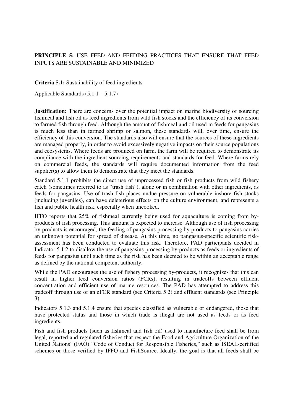# **PRINCIPLE 5:** USE FEED AND FEEDING PRACTICES THAT ENSURE THAT FEED INPUTS ARE SUSTAINABLE AND MINIMIZED

**Criteria 5.1:** Sustainability of feed ingredients

Applicable Standards (5.1.1 – 5.1.7)

**Justification:** There are concerns over the potential impact on marine biodiversity of sourcing fishmeal and fish oil as feed ingredients from wild fish stocks and the efficiency of its conversion to farmed fish through feed. Although the amount of fishmeal and oil used in feeds for pangasius is much less than in farmed shrimp or salmon, these standards will, over time, ensure the efficiency of this conversion. The standards also will ensure that the sources of these ingredients are managed properly, in order to avoid excessively negative impacts on their source populations and ecosystems. Where feeds are produced on farm, the farm will be required to demonstrate its compliance with the ingredient-sourcing requirements and standards for feed. Where farms rely on commercial feeds, the standards will require documented information from the feed supplier(s) to allow them to demonstrate that they meet the standards.

Standard 5.1.1 prohibits the direct use of unprocessed fish or fish products from wild fishery catch (sometimes referred to as "trash fish"), alone or in combination with other ingredients, as feeds for pangasius. Use of trash fish places undue pressure on vulnerable inshore fish stocks (including juveniles), can have deleterious effects on the culture environment, and represents a fish and public health risk, especially when uncooked.

IFFO reports that 25% of fishmeal currently being used for aquaculture is coming from byproducts of fish processing. This amount is expected to increase. Although use of fish processing by-products is encouraged, the feeding of pangasius processing by-products to pangasius carries an unknown potential for spread of disease. At this time, no pangasius-specific scientific riskassessment has been conducted to evaluate this risk. Therefore, PAD participants decided in Indicator 5.1.2 to disallow the use of pangasius processing by-products as feeds or ingredients of feeds for pangasius until such time as the risk has been deemed to be within an acceptable range as defined by the national competent authority.

While the PAD encourages the use of fishery processing by-products, it recognizes that this can result in higher feed conversion ratios (FCRs), resulting in tradeoffs between effluent concentration and efficient use of marine resources. The PAD has attempted to address this tradeoff through use of an eFCR standard (see Criteria 5.2) and effluent standards (see Principle 3).

Indicators 5.1.3 and 5.1.4 ensure that species classified as vulnerable or endangered, those that have protected status and those in which trade is illegal are not used as feeds or as feed ingredients.

Fish and fish products (such as fishmeal and fish oil) used to manufacture feed shall be from legal, reported and regulated fisheries that respect the Food and Agriculture Organization of the United Nations' (FAO) "Code of Conduct for Responsible Fisheries," such as ISEAL-certified schemes or those verified by IFFO and FishSource. Ideally, the goal is that all feeds shall be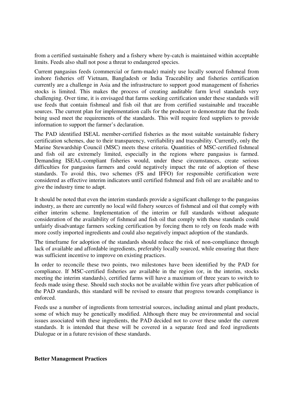from a certified sustainable fishery and a fishery where by-catch is maintained within acceptable limits. Feeds also shall not pose a threat to endangered species.

Current pangasius feeds (commercial or farm-made) mainly use locally sourced fishmeal from inshore fisheries off Vietnam, Bangladesh or India Traceability and fisheries certification currently are a challenge in Asia and the infrastructure to support good management of fisheries stocks is limited. This makes the process of creating auditable farm level standards very challenging. Over time, it is envisaged that farms seeking certification under these standards will use feeds that contain fishmeal and fish oil that are from certified sustainable and traceable sources. The current plan for implementation calls for the producer to demonstrate that the feeds being used meet the requirements of the standards. This will require feed suppliers to provide information to support the farmer's declaration.

The PAD identified ISEAL member-certified fisheries as the most suitable sustainable fishery certification schemes, due to their transparency, verifiability and traceability. Currently, only the Marine Stewardship Council (MSC) meets these criteria. Quantities of MSC-certified fishmeal and fish oil are extremely limited, especially in the regions where pangasius is farmed. Demanding ISEAL-compliant fisheries would, under these circumstances, create serious difficulties for pangasius farmers and could negatively impact the rate of adoption of these standards. To avoid this, two schemes (FS and IFFO) for responsible certification were considered as effective interim indicators until certified fishmeal and fish oil are available and to give the industry time to adapt.

It should be noted that even the interim standards provide a significant challenge to the pangasius industry, as there are currently no local wild fishery sources of fishmeal and oil that comply with either interim scheme. Implementation of the interim or full standards without adequate consideration of the availability of fishmeal and fish oil that comply with these standards could unfairly disadvantage farmers seeking certification by forcing them to rely on feeds made with more costly imported ingredients and could also negatively impact adoption of the standards.

The timeframe for adoption of the standards should reduce the risk of non-compliance through lack of available and affordable ingredients, preferably locally sourced, while ensuring that there was sufficient incentive to improve on existing practices.

In order to reconcile these two points, two milestones have been identified by the PAD for compliance. If MSC-certified fisheries are available in the region (or, in the interim, stocks meeting the interim standards), certified farms will have a maximum of three years to switch to feeds made using these. Should such stocks not be available within five years after publication of the PAD standards, this standard will be revised to ensure that progress towards compliance is enforced.

Feeds use a number of ingredients from terrestrial sources, including animal and plant products, some of which may be genetically modified. Although there may be environmental and social issues associated with these ingredients, the PAD decided not to cover these under the current standards. It is intended that these will be covered in a separate feed and feed ingredients Dialogue or in a future revision of these standards.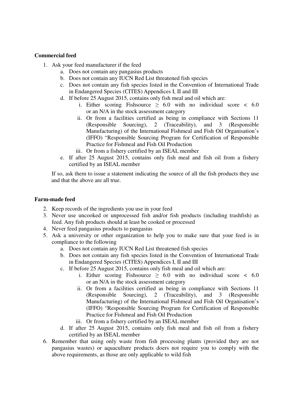## **Commercial feed**

- 1. Ask your feed manufacturer if the feed
	- a. Does not contain any pangasius products
	- b. Does not contain any IUCN Red List threatened fish species
	- c. Does not contain any fish species listed in the Convention of International Trade in Endangered Species (CITES) Appendices I, II and III
	- d. If before 25 August 2015, contains only fish meal and oil which are:
		- i. Either scoring Fishsource  $\geq 6.0$  with no individual score < 6.0 or an N/A in the stock assessment category
		- ii. Or from a facilities certified as being in compliance with Sections 11 (Responsible Sourcing), 2 (Traceability), and 3 (Responsible Manufacturing) of the International Fishmeal and Fish Oil Organisation's (IFFO) "Responsible Sourcing Program for Certification of Responsible Practice for Fishmeal and Fish Oil Production
		- iii. Or from a fishery certified by an ISEAL member
	- e. If after 25 August 2015, contains only fish meal and fish oil from a fishery certified by an ISEAL member

If so, ask them to issue a statement indicating the source of all the fish products they use and that the above are all true.

#### **Farm-made feed**

- 2. Keep records of the ingredients you use in your feed
- 3. Never use uncooked or unprocessed fish and/or fish products (including trashfish) as feed. Any fish products should at least be cooked or processed
- 4. Never feed pangasius products to pangasius
- 5. Ask a university or other organization to help you to make sure that your feed is in compliance to the following
	- a. Does not contain any IUCN Red List threatened fish species
	- b. Does not contain any fish species listed in the Convention of International Trade in Endangered Species (CITES) Appendices I, II and III
	- c. If before 25 August 2015, contains only fish meal and oil which are:
		- i. Either scoring Fishsource  $\geq 6.0$  with no individual score < 6.0 or an N/A in the stock assessment category
		- ii. Or from a facilities certified as being in compliance with Sections 11 (Responsible Sourcing), 2 (Traceability), and 3 (Responsible Manufacturing) of the International Fishmeal and Fish Oil Organisation's (IFFO) "Responsible Sourcing Program for Certification of Responsible Practice for Fishmeal and Fish Oil Production
		- iii. Or from a fishery certified by an ISEAL member
	- d. If after 25 August 2015, contains only fish meal and fish oil from a fishery certified by an ISEAL member
- 6. Remember that using only waste from fish processing plants (provided they are not pangasius wastes) or aquaculture products doers not require you to comply with the above requirements, as those are only applicable to wild fish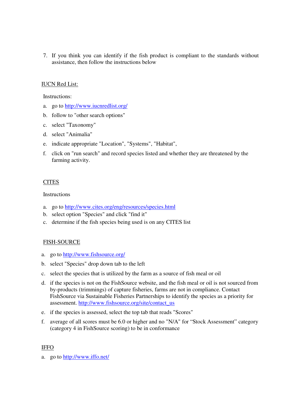7. If you think you can identify if the fish product is compliant to the standards without assistance, then follow the instructions below

#### IUCN Red List:

Instructions:

- a. go to http://www.iucnredlist.org/
- b. follow to "other search options"
- c. select "Taxonomy"
- d. select "Animalia"
- e. indicate appropriate "Location", "Systems", "Habitat",
- f. click on "run search" and record species listed and whether they are threatened by the farming activity.

#### **CITES**

Instructions

- a. go to http://www.cites.org/eng/resources/species.html
- b. select option "Species" and click "find it"
- c. determine if the fish species being used is on any CITES list

#### FISH-SOURCE

- a. go to http://www.fishsource.org/
- b. select "Species" drop down tab to the left
- c. select the species that is utilized by the farm as a source of fish meal or oil
- d. if the species is not on the FishSource website, and the fish meal or oil is not sourced from by-products (trimmings) of capture fisheries, farms are not in compliance. Contact FishSource via Sustainable Fisheries Partnerships to identify the species as a priority for assessment. http://www.fishsource.org/site/contact\_us
- e. if the species is assessed, select the top tab that reads "Scores"
- f. average of all scores must be 6.0 or higher and no "N/A" for "Stock Assessment" category (category 4 in FishSource scoring) to be in conformance

## IFFO

a. go to http://www.iffo.net/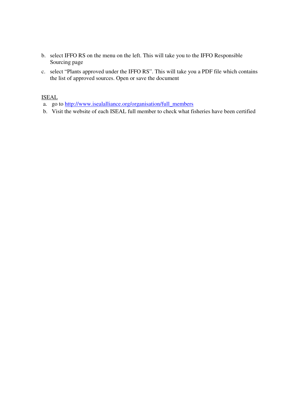- b. select IFFO RS on the menu on the left. This will take you to the IFFO Responsible Sourcing page
- c. select "Plants approved under the IFFO RS". This will take you a PDF file which contains the list of approved sources. Open or save the document

ISEAL

- a. go to http://www.isealalliance.org/organisation/full\_members
- b. Visit the website of each ISEAL full member to check what fisheries have been certified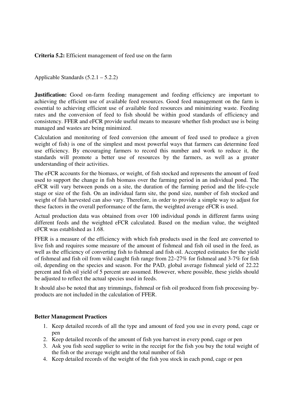**Criteria 5.2:** Efficient management of feed use on the farm

Applicable Standards (5.2.1 – 5.2.2)

**Justification:** Good on-farm feeding management and feeding efficiency are important to achieving the efficient use of available feed resources. Good feed management on the farm is essential to achieving efficient use of available feed resources and minimizing waste. Feeding rates and the conversion of feed to fish should be within good standards of efficiency and consistency. FFER and eFCR provide useful means to measure whether fish product use is being managed and wastes are being minimized.

Calculation and monitoring of feed conversion (the amount of feed used to produce a given weight of fish) is one of the simplest and most powerful ways that farmers can determine feed use efficiency. By encouraging farmers to record this number and work to reduce it, the standards will promote a better use of resources by the farmers, as well as a greater understanding of their activities.

The eFCR accounts for the biomass, or weight, of fish stocked and represents the amount of feed used to support the change in fish biomass over the farming period in an individual pond. The eFCR will vary between ponds on a site, the duration of the farming period and the life-cycle stage or size of the fish. On an individual farm site, the pond size, number of fish stocked and weight of fish harvested can also vary. Therefore, in order to provide a simple way to adjust for these factors in the overall performance of the farm, the weighted average eFCR is used.

Actual production data was obtained from over 100 individual ponds in different farms using different feeds and the weighted eFCR calculated. Based on the median value, the weighted eFCR was established as 1.68.

FFER is a measure of the efficiency with which fish products used in the feed are converted to live fish and requires some measure of the amount of fishmeal and fish oil used in the feed, as well as the efficiency of converting fish to fishmeal and fish oil. Accepted estimates for the yield of fishmeal and fish oil from wild caught fish range from 22–27% for fishmeal and 3-7% for fish oil, depending on the species and season. For the PAD, global average fishmeal yield of 22.22 percent and fish oil yield of 5 percent are assumed. However, where possible, these yields should be adjusted to reflect the actual species used in feeds.

It should also be noted that any trimmings, fishmeal or fish oil produced from fish processing byproducts are not included in the calculation of FFER.

- 1. Keep detailed records of all the type and amount of feed you use in every pond, cage or pen
- 2. Keep detailed records of the amount of fish you harvest in every pond, cage or pen
- 3. Ask you fish seed supplier to write in the receipt for the fish you buy the total weight of the fish or the average weight and the total number of fish
- 4. Keep detailed records of the weight of the fish you stock in each pond, cage or pen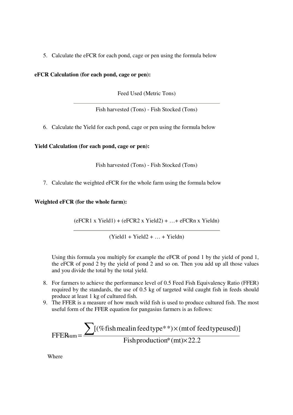5. Calculate the eFCR for each pond, cage or pen using the formula below

**eFCR Calculation (for each pond, cage or pen):** 

Feed Used (Metric Tons)

Fish harvested (Tons) - Fish Stocked (Tons)

6. Calculate the Yield for each pond, cage or pen using the formula below

**Yield Calculation (for each pond, cage or pen):** 

Fish harvested (Tons) - Fish Stocked (Tons)

7. Calculate the weighted eFCR for the whole farm using the formula below

**Weighted eFCR (for the whole farm):** 

 $(eFCR1 x Yield1) + (eFCR2 x Yield2) + ... + eFCRn x Yieldn)$ 

 $(Yield1 + Yield2 + ... + Yieldn)$ 

Using this formula you multiply for example the eFCR of pond 1 by the yield of pond 1, the eFCR of pond 2 by the yield of pond 2 and so on. Then you add up all those values and you divide the total by the total yield.

- 8. For farmers to achieve the performance level of 0.5 Feed Fish Equivalency Ratio (FFER) required by the standards, the use of 0.5 kg of targeted wild caught fish in feeds should produce at least 1 kg of cultured fish.
- 9. The FFER is a measure of how much wild fish is used to produce cultured fish. The most useful form of the FFER equation for pangasius farmers is as follows:

 $Fish production*(mt) \times 22.2$  $[(%$  fish mealin feed type\*\*) $\times$  (mt of feed typeused)] FFER<sub>sum</sub>  $\times$  $\times$  $=\frac{\sum_{1}^{n} x_{1}^{2}}{n}$ 

Where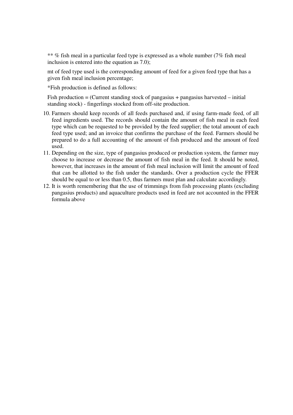\*\* % fish meal in a particular feed type is expressed as a whole number (7% fish meal inclusion is entered into the equation as 7.0);

mt of feed type used is the corresponding amount of feed for a given feed type that has a given fish meal inclusion percentage;

\*Fish production is defined as follows:

Fish production  $=$  (Current standing stock of pangasius + pangasius harvested – initial standing stock) - fingerlings stocked from off-site production.

- 10. Farmers should keep records of all feeds purchased and, if using farm-made feed, of all feed ingredients used. The records should contain the amount of fish meal in each feed type which can be requested to be provided by the feed supplier; the total amount of each feed type used; and an invoice that confirms the purchase of the feed. Farmers should be prepared to do a full accounting of the amount of fish produced and the amount of feed used.
- 11. Depending on the size, type of pangasius produced or production system, the farmer may choose to increase or decrease the amount of fish meal in the feed. It should be noted, however, that increases in the amount of fish meal inclusion will limit the amount of feed that can be allotted to the fish under the standards. Over a production cycle the FFER should be equal to or less than 0.5, thus farmers must plan and calculate accordingly.
- 12. It is worth remembering that the use of trimmings from fish processing plants (excluding pangasius products) and aquaculture products used in feed are not accounted in the FFER formula above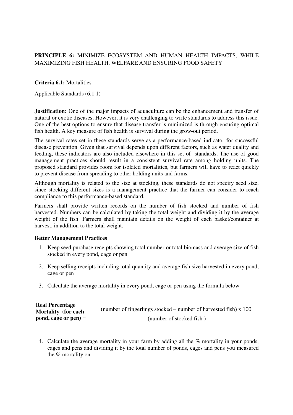# **PRINCIPLE 6:** MINIMIZE ECOSYSTEM AND HUMAN HEALTH IMPACTS, WHILE MAXIMIZING FISH HEALTH, WELFARE AND ENSURING FOOD SAFETY

## **Criteria 6.1:** Mortalities

Applicable Standards (6.1.1)

**Justification:** One of the major impacts of aquaculture can be the enhancement and transfer of natural or exotic diseases. However, it is very challenging to write standards to address this issue. One of the best options to ensure that disease transfer is minimized is through ensuring optimal fish health. A key measure of fish health is survival during the grow-out period.

The survival rates set in these standards serve as a performance-based indicator for successful disease prevention. Given that survival depends upon different factors, such as water quality and feeding, these indicators are also included elsewhere in this set of standards. The use of good management practices should result in a consistent survival rate among holding units. The proposed standard provides room for isolated mortalities, but farmers will have to react quickly to prevent disease from spreading to other holding units and farms.

Although mortality is related to the size at stocking, these standards do not specify seed size, since stocking different sizes is a management practice that the farmer can consider to reach compliance to this performance-based standard.

Farmers shall provide written records on the number of fish stocked and number of fish harvested. Numbers can be calculated by taking the total weight and dividing it by the average weight of the fish. Farmers shall maintain details on the weight of each basket/container at harvest, in addition to the total weight.

## **Better Management Practices**

- 1. Keep seed purchase receipts showing total number or total biomass and average size of fish stocked in every pond, cage or pen
- 2. Keep selling receipts including total quantity and average fish size harvested in every pond, cage or pen
- 3. Calculate the average mortality in every pond, cage or pen using the formula below

| <b>Real Percentage</b>                        |                                                                    |
|-----------------------------------------------|--------------------------------------------------------------------|
| <b>Mortality</b> (for each)                   | (number of fingerlings stocked – number of harvested fish) $x$ 100 |
| $\mathbf{p}$ pond, cage or $\mathbf{p}$ en) = | (number of stocked fish)                                           |

4. Calculate the average mortality in your farm by adding all the % mortality in your ponds, cages and pens and dividing it by the total number of ponds, cages and pens you measured the % mortality on.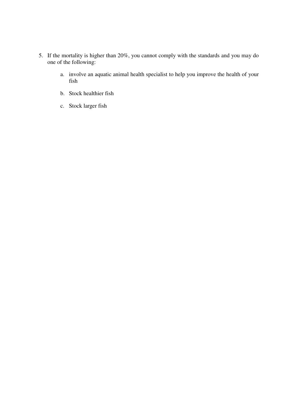- 5. If the mortality is higher than 20%, you cannot comply with the standards and you may do one of the following:
	- a. involve an aquatic animal health specialist to help you improve the health of your fish
	- b. Stock healthier fish
	- c. Stock larger fish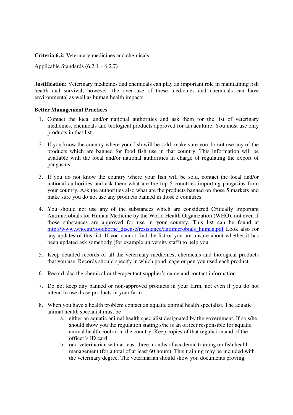**Criteria 6.2:** Veterinary medicines and chemicals

Applicable Standards  $(6.2.1 - 6.2.7)$ 

**Justification:** Veterinary medicines and chemicals can play an important role in maintaining fish health and survival, however, the over use of these medicines and chemicals can have environmental as well as human health impacts.

- 1. Contact the local and/or national authorities and ask them for the list of veterinary medicines, chemicals and biological products approved for aquaculture. You must use only products in that list
- 2. If you know the country where your fish will be sold, make sure you do not use any of the products which are banned for food fish use in that country. This information will be available with the local and/or national authorities in charge of regulating the export of pangasius.
- 3. If you do not know the country where your fish will be sold, contact the local and/or national authorities and ask them what are the top 5 countries importing pangasius from your country. Ask the authorities also what are the products banned on those 5 markets and make sure you do not use any products banned in those 5 countries.
- 4. You should not use any of the substances which are considered Critically Important Antimicrobials for Human Medicine by the World Health Organization (WHO), not even if those substances are approved for use in your country. This list can be found at http://www.who.int/foodborne\_disease/resistance/antimicrobials\_human.pdf Look also for any updates of this list. If you cannot find the list or you are unsure about whether it has been updated ask somebody (for example university staff) to help you.
- 5. Keep detailed records of all the veterinary medicines, chemicals and biological products that you use. Records should specify in which pond, cage or pen you used each product.
- 6. Record also the chemical or therapeutant supplier's name and contact information
- 7. Do not keep any banned or non-approved products in your farm, not even if you do not intend to use those products in your farm
- 8. When you have a health problem contact an aquatic animal health specialist. The aquatic animal health specialist must be
	- a. either an aquatic animal health specialist designated by the government. If so s/he should show you the regulation stating s/he is an officer responsible for aquatic animal health control in the country. Keep copies of that regulation and of the officer's ID card
	- b. or a veterinarian with at least three months of academic training on fish health management (for a total of at least 60 hours). This training may be included with the veterinary degree. The veterinarian should show you documents proving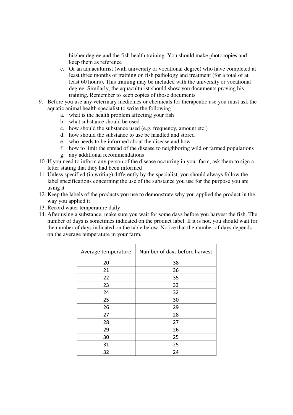his/her degree and the fish health training. You should make photocopies and keep them as reference

- c. Or an aquaculturist (with university or vocational degree) who have completed at least three months of training on fish pathology and treatment (for a total of at least 60 hours). This training may be included with the university or vocational degree. Similarly, the aquaculturist should show you documents proving his training. Remember to keep copies of those documents
- 9. Before you use any veterinary medicines or chemicals for therapeutic use you must ask the aquatic animal health specialist to write the following
	- a. what is the health problem affecting your fish
	- b. what substance should be used
	- c. how should the substance used (e.g. frequency, amount etc.)
	- d. how should the substance to use be handled and stored
	- e. who needs to be informed about the disease and how
	- f. how to limit the spread of the disease to neighboring wild or farmed populations
	- g. any additional recommendations
- 10. If you need to inform any person of the disease occurring in your farm, ask them to sign a letter stating that they had been informed
- 11. Unless specified (in writing) differently by the specialist, you should always follow the label specifications concerning the use of the substance you use for the purpose you are using it
- 12. Keep the labels of the products you use to demonstrate why you applied the product in the way you applied it
- 13. Record water temperature daily
- 14. After using a substance, make sure you wait for some days before you harvest the fish. The number of days is sometimes indicated on the product label. If it is not, you should wait for the number of days indicated on the table below. Notice that the number of days depends on the average temperature in your farm.

| Average temperature | Number of days before harvest |
|---------------------|-------------------------------|
| 20                  | 38                            |
| 21                  | 36                            |
| 22                  | 35                            |
| 23                  | 33                            |
| 24                  | 32                            |
| 25                  | 30                            |
| 26                  | 29                            |
| 27                  | 28                            |
| 28                  | 27                            |
| 29                  | 26                            |
| 30                  | 25                            |
| 31                  | 25                            |
| 32                  | 24                            |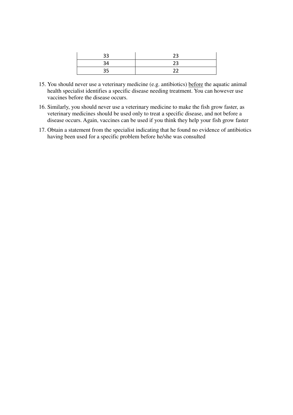| 33 | 23 |
|----|----|
| 34 | 23 |
| 35 | າາ |

- 15. You should never use a veterinary medicine (e.g. antibiotics) before the aquatic animal health specialist identifies a specific disease needing treatment. You can however use vaccines before the disease occurs.
- 16. Similarly, you should never use a veterinary medicine to make the fish grow faster, as veterinary medicines should be used only to treat a specific disease, and not before a disease occurs. Again, vaccines can be used if you think they help your fish grow faster
- 17. Obtain a statement from the specialist indicating that he found no evidence of antibiotics having been used for a specific problem before he/she was consulted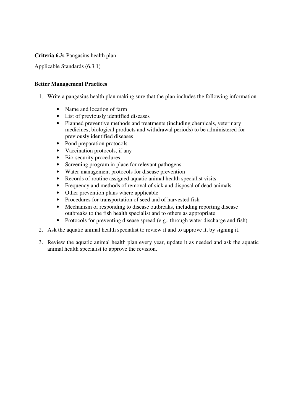## **Criteria 6.3:** Pangasius health plan

Applicable Standards (6.3.1)

- 1. Write a pangasius health plan making sure that the plan includes the following information
	- Name and location of farm
	- List of previously identified diseases
	- Planned preventive methods and treatments (including chemicals, veterinary medicines, biological products and withdrawal periods) to be administered for previously identified diseases
	- Pond preparation protocols
	- Vaccination protocols, if any
	- Bio-security procedures
	- Screening program in place for relevant pathogens
	- Water management protocols for disease prevention
	- Records of routine assigned aquatic animal health specialist visits
	- Frequency and methods of removal of sick and disposal of dead animals
	- Other prevention plans where applicable
	- Procedures for transportation of seed and of harvested fish
	- Mechanism of responding to disease outbreaks, including reporting disease outbreaks to the fish health specialist and to others as appropriate
	- Protocols for preventing disease spread (e.g., through water discharge and fish)
- 2. Ask the aquatic animal health specialist to review it and to approve it, by signing it.
- 3. Review the aquatic animal health plan every year, update it as needed and ask the aquatic animal health specialist to approve the revision.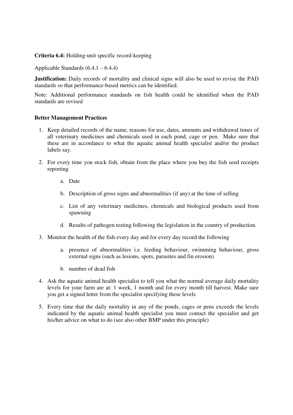**Criteria 6.4:** Holding-unit specific record-keeping

Applicable Standards  $(6.4.1 - 6.4.4)$ 

**Justification:** Daily records of mortality and clinical signs will also be used to revise the PAD standards so that performance-based metrics can be identified.

Note: Additional performance standards on fish health could be identified when the PAD standards are revised

- 1. Keep detailed records of the name, reasons for use, dates, amounts and withdrawal times of all veterinary medicines and chemicals used in each pond, cage or pen. Make sure that these are in accordance to what the aquatic animal health specialist and/or the product labels say.
- 2. For every time you stock fish, obtain from the place where you buy the fish seed receipts reporting
	- a. Date
	- b. Description of gross signs and abnormalities (if any) at the time of selling
	- c. List of any veterinary medicines, chemicals and biological products used from spawning
	- d. Results of pathogen testing following the legislation in the country of production.
- 3. Monitor the health of the fish every day and for every day record the following
	- a. presence of abnormalities i.e. feeding behaviour, swimming behaviour, gross external signs (such as lesions, spots, parasites and fin erosion)
	- b. number of dead fish
- 4. Ask the aquatic animal health specialist to tell you what the normal average daily mortality levels for your farm are at: 1 week, 1 month and for every month till harvest. Make sure you get a signed letter from the specialist specifying these levels
- 5. Every time that the daily mortality in any of the ponds, cages or pens exceeds the levels indicated by the aquatic animal health specialist you must contact the specialist and get his/her advice on what to do (see also other BMP under this principle)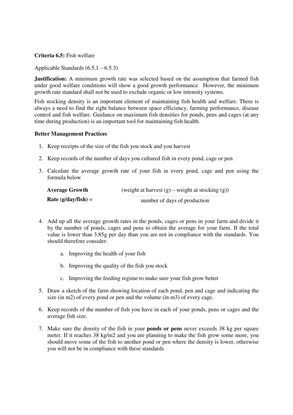**Criteria 6.5:** Fish welfare

Applicable Standards  $(6.5.1 - 6.5.3)$ 

**Justification:** A minimum growth rate was selected based on the assumption that farmed fish under good welfare conditions will show a good growth performance. However, the minimum growth rate standard shall not be used to exclude organic or low intensity systems.

Fish stocking density is an important element of maintaining fish health and welfare. There is always a need to find the right balance between space efficiency, farming performance, disease control and fish welfare. Guidance on maximum fish densities for ponds, pens and cages (at any time during production) is an important tool for maintaining fish health.

- 1. Keep receipts of the size of the fish you stock and you harvest
- 2. Keep records of the number of days you cultured fish in every pond, cage or pen
- 3. Calculate the average growth rate of your fish in every pond, cage and pen using the formula below

| <b>Average Growth</b> | (weight at harvest $(g)$ – weight at stocking $(g)$ ) |
|-----------------------|-------------------------------------------------------|
| Rate $(g/day/fish) =$ | number of days of production                          |

- 4. Add up all the average growth rates in the ponds, cages or pens in your farm and divide it by the number of ponds, cages and pens to obtain the average for your farm. If the total value is lower than 3.85g per day than you are not in compliance with the standards. You should therefore consider:
	- a. Improving the health of your fish
	- b. Improving the quality of the fish you stock
	- c. Improving the feeding regime to make sure your fish grow better
- 5. Draw a sketch of the farm showing location of each pond, pen and cage and indicating the size (in m2) of every pond or pen and the volume (in m3) of every cage.
- 6. Keep records of the number of fish you have in each of your ponds, pens or cages and the average fish size.
- 7. Make sure the density of the fish in your **ponds or pens** never exceeds 38 kg per square meter. If it reaches 38 kg/m2 and you are planning to make the fish grow some more, you should move some of the fish to another pond or pen where the density is lower, otherwise you will not be in compliance with these standards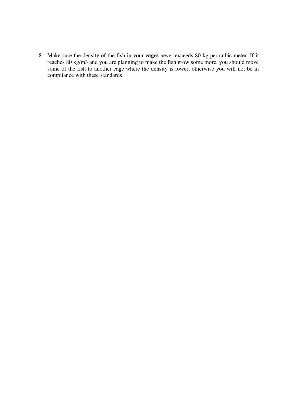8. Make sure the density of the fish in your **cages** never exceeds 80 kg per cubic meter. If it reaches 80 kg/m3 and you are planning to make the fish grow some more, you should move some of the fish to another cage where the density is lower, otherwise you will not be in compliance with these standards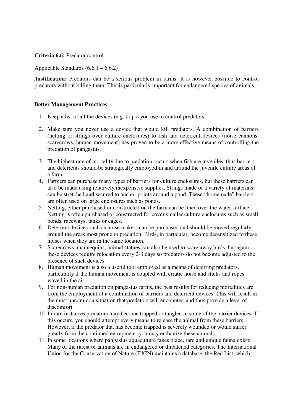**Criteria 6.6:** Predator control

Applicable Standards  $(6.6.1 - 6.6.2)$ 

**Justification:** Predators can be a serious problem in farms. It is however possible to control predators without killing them. This is particularly important for endangered species of animals

- 1. Keep a list of all the devices (e.g. traps) you use to control predators.
- 2. Make sure you never use a device that would kill predators. A combination of barriers (netting or strings over culture enclosures) to fish and deterrent devices (noise cannons, scarecrows, human movement) has proven to be a more effective means of controlling the predation of pangasius.
- 3. The highest rate of mortality due to predation occurs when fish are juveniles, thus barriers and deterrents should be strategically employed in and around the juvenile culture areas of a farm.
- 4. Farmers can purchase many types of barriers for culture enclosures, but these barriers can also be made using relatively inexpensive supplies. Strings made of a variety of materials can be stretched and secured to anchor points around a pond. These "homemade" barriers are often used on large enclosures such as ponds.
- 5. Netting, either purchased or constructed on the farm can be lined over the water surface. Netting is often purchased or constructed for cover smaller culture enclosures such as small ponds, raceways, tanks or cages.
- 6. Deterrent devices such as noise makers can be purchased and should be moved regularly around the areas most prone to predation. Birds, in particular, become desensitized to these noises when they are in the same location.
- 7. Scarecrows, mannequins, animal statues can also be used to scare away birds, but again, these devices require relocation every 2-3 days so predators do not become adjusted to the presence of such devices.
- 8. Human movement is also a useful tool employed as a means of deterring predators, particularly if the human movement is coupled with erratic noise and sticks and ropes waved in the air.
- 9. For non-human predation on pangasius farms, the best results for reducing mortalities are from the employment of a combination of barriers and deterrent devices. This will result in the most uncommon situation that predators will encounter, and thus provide a level of discomfort.
- 10. In rare instances predators may become trapped or tangled in some of the barrier devices. If this occurs, you should attempt every means to release the animal from these barriers. However, if the predator that has become trapped is severely wounded or would suffer greatly from the continued entrapment, you may euthanize these animals.
- 11. In some locations where pangasius aquaculture takes place, rare and unique fauna exists. Many of the rarest of animals are in endangered or threatened categories. The International Union for the Conservation of Nature (IUCN) maintains a database, the Red List, which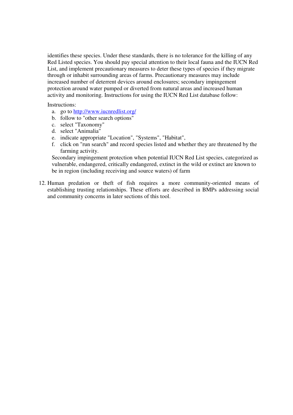identifies these species. Under these standards, there is no tolerance for the killing of any Red Listed species. You should pay special attention to their local fauna and the IUCN Red List, and implement precautionary measures to deter these types of species if they migrate through or inhabit surrounding areas of farms. Precautionary measures may include increased number of deterrent devices around enclosures; secondary impingement protection around water pumped or diverted from natural areas and increased human activity and monitoring. Instructions for using the IUCN Red List database follow:

Instructions:

- a. go to http://www.iucnredlist.org/
- b. follow to "other search options"
- c. select "Taxonomy"
- d. select "Animalia"
- e. indicate appropriate "Location", "Systems", "Habitat",
- f. click on "run search" and record species listed and whether they are threatened by the farming activity.

Secondary impingement protection when potential IUCN Red List species, categorized as vulnerable, endangered, critically endangered, extinct in the wild or extinct are known to be in region (including receiving and source waters) of farm

12. Human predation or theft of fish requires a more community-oriented means of establishing trusting relationships. These efforts are described in BMPs addressing social and community concerns in later sections of this tool.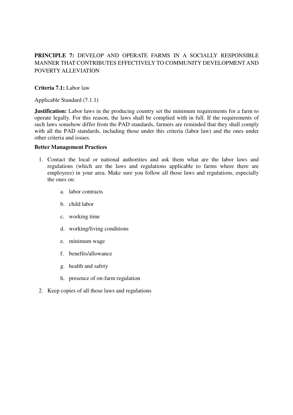# **PRINCIPLE 7:** DEVELOP AND OPERATE FARMS IN A SOCIALLY RESPONSIBLE MANNER THAT CONTRIBUTES EFFECTIVELY TO COMMUNITY DEVELOPMENT AND POVERTY ALLEVIATION

## **Criteria 7.1:** Labor law

Applicable Standard (7.1.1)

**Justification:** Labor laws in the producing country set the minimum requirements for a farm to operate legally. For this reason, the laws shall be complied with in full. If the requirements of such laws somehow differ from the PAD standards, farmers are reminded that they shall comply with all the PAD standards, including those under this criteria (labor law) and the ones under other criteria and issues.

- 1. Contact the local or national authorities and ask them what are the labor laws and regulations (which are the laws and regulations applicable to farms where there are employees) in your area. Make sure you follow all those laws and regulations, especially the ones on:
	- a. labor contracts
	- b. child labor
	- c. working time
	- d. working/living conditions
	- e. minimum wage
	- f. benefits/allowance
	- g. health and safety
	- h. presence of on-farm regulation
- 2. Keep copies of all those laws and regulations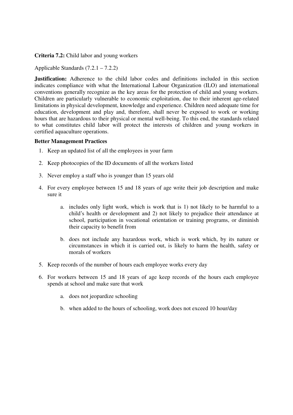**Criteria 7.2:** Child labor and young workers

Applicable Standards (7.2.1 – 7.2.2)

**Justification:** Adherence to the child labor codes and definitions included in this section indicates compliance with what the International Labour Organization (ILO) and international conventions generally recognize as the key areas for the protection of child and young workers. Children are particularly vulnerable to economic exploitation, due to their inherent age-related limitations in physical development, knowledge and experience. Children need adequate time for education, development and play and, therefore, shall never be exposed to work or working hours that are hazardous to their physical or mental well-being. To this end, the standards related to what constitutes child labor will protect the interests of children and young workers in certified aquaculture operations.

- 1. Keep an updated list of all the employees in your farm
- 2. Keep photocopies of the ID documents of all the workers listed
- 3. Never employ a staff who is younger than 15 years old
- 4. For every employee between 15 and 18 years of age write their job description and make sure it
	- a. includes only light work, which is work that is 1) not likely to be harmful to a child's health or development and 2) not likely to prejudice their attendance at school, participation in vocational orientation or training programs, or diminish their capacity to benefit from
	- b. does not include any hazardous work, which is work which, by its nature or circumstances in which it is carried out, is likely to harm the health, safety or morals of workers
- 5. Keep records of the number of hours each employee works every day
- 6. For workers between 15 and 18 years of age keep records of the hours each employee spends at school and make sure that work
	- a. does not jeopardize schooling
	- b. when added to the hours of schooling, work does not exceed 10 hour/day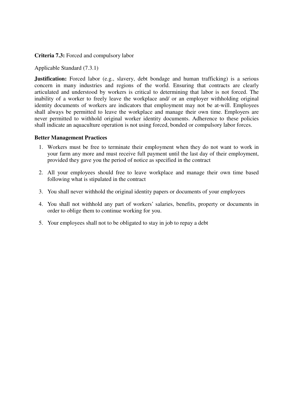**Criteria 7.3:** Forced and compulsory labor

Applicable Standard (7.3.1)

**Justification:** Forced labor (e.g., slavery, debt bondage and human trafficking) is a serious concern in many industries and regions of the world. Ensuring that contracts are clearly articulated and understood by workers is critical to determining that labor is not forced. The inability of a worker to freely leave the workplace and/ or an employer withholding original identity documents of workers are indicators that employment may not be at-will. Employees shall always be permitted to leave the workplace and manage their own time. Employers are never permitted to withhold original worker identity documents. Adherence to these policies shall indicate an aquaculture operation is not using forced, bonded or compulsory labor forces.

- 1. Workers must be free to terminate their employment when they do not want to work in your farm any more and must receive full payment until the last day of their employment, provided they gave you the period of notice as specified in the contract
- 2. All your employees should free to leave workplace and manage their own time based following what is stipulated in the contract
- 3. You shall never withhold the original identity papers or documents of your employees
- 4. You shall not withhold any part of workers' salaries, benefits, property or documents in order to oblige them to continue working for you.
- 5. Your employees shall not to be obligated to stay in job to repay a debt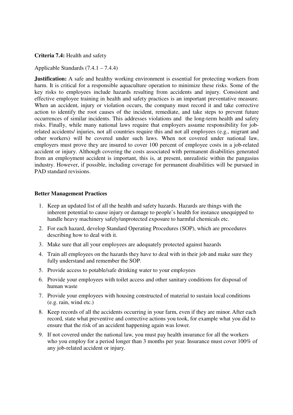**Criteria 7.4:** Health and safety

Applicable Standards (7.4.1 – 7.4.4)

**Justification:** A safe and healthy working environment is essential for protecting workers from harm. It is critical for a responsible aquaculture operation to minimize these risks. Some of the key risks to employees include hazards resulting from accidents and injury. Consistent and effective employee training in health and safety practices is an important preventative measure. When an accident, injury or violation occurs, the company must record it and take corrective action to identify the root causes of the incident, remediate, and take steps to prevent future occurrences of similar incidents. This addresses violations and the long-term health and safety risks. Finally, while many national laws require that employers assume responsibility for jobrelated accidents/ injuries, not all countries require this and not all employees (e.g., migrant and other workers) will be covered under such laws. When not covered under national law, employers must prove they are insured to cover 100 percent of employee costs in a job-related accident or injury. Although covering the costs associated with permanent disabilities generated from an employment accident is important, this is, at present, unrealistic within the pangasius industry. However, if possible, including coverage for permanent disabilities will be pursued in PAD standard revisions.

- 1. Keep an updated list of all the health and safety hazards. Hazards are things with the inherent potential to cause injury or damage to people's health for instance unequipped to handle heavy machinery safely/unprotected exposure to harmful chemicals etc.
- 2. For each hazard, develop Standard Operating Procedures (SOP), which are procedures describing how to deal with it.
- 3. Make sure that all your employees are adequately protected against hazards
- 4. Train all employees on the hazards they have to deal with in their job and make sure they fully understand and remember the SOP.
- 5. Provide access to potable/safe drinking water to your employees
- 6. Provide your employees with toilet access and other sanitary conditions for disposal of human waste
- 7. Provide your employees with housing constructed of material to sustain local conditions (e.g. rain, wind etc.)
- 8. Keep records of all the accidents occurring in your farm, even if they are minor. After each record, state what preventive and corrective actions you took, for example what you did to ensure that the risk of an accident happening again was lower.
- 9. If not covered under the national law, you must pay health insurance for all the workers who you employ for a period longer than 3 months per year. Insurance must cover 100% of any job-related accident or injury.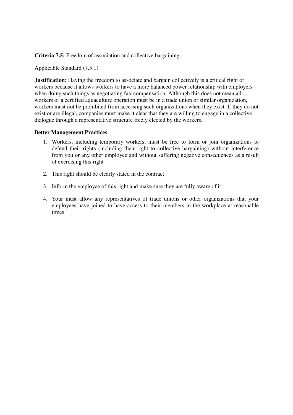**Criteria 7.5:** Freedom of association and collective bargaining

Applicable Standard (7.5.1)

**Justification:** Having the freedom to associate and bargain collectively is a critical right of workers because it allows workers to have a more balanced power relationship with employers when doing such things as negotiating fair compensation. Although this does not mean all workers of a certified aquaculture operation must be in a trade union or similar organization, workers must not be prohibited from accessing such organizations when they exist. If they do not exist or are illegal, companies must make it clear that they are willing to engage in a collective dialogue through a representative structure freely elected by the workers.

- 1. Workers, including temporary workers, must be free to form or join organizations to defend their rights (including their right to collective bargaining) without interference from you or any other employee and without suffering negative consequences as a result of exercising this right
- 2. This right should be clearly stated in the contract
- 3. Inform the employee of this right and make sure they are fully aware of it
- 4. Your must allow any representatives of trade unions or other organizations that your employees have joined to have access to their members in the workplace at reasonable times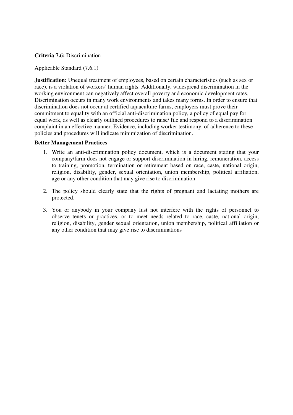## **Criteria 7.6:** Discrimination

Applicable Standard (7.6.1)

**Justification:** Unequal treatment of employees, based on certain characteristics (such as sex or race), is a violation of workers' human rights. Additionally, widespread discrimination in the working environment can negatively affect overall poverty and economic development rates. Discrimination occurs in many work environments and takes many forms. In order to ensure that discrimination does not occur at certified aquaculture farms, employers must prove their commitment to equality with an official anti-discrimination policy, a policy of equal pay for equal work, as well as clearly outlined procedures to raise/ file and respond to a discrimination complaint in an effective manner. Evidence, including worker testimony, of adherence to these policies and procedures will indicate minimization of discrimination.

- 1. Write an anti-discrimination policy document, which is a document stating that your company/farm does not engage or support discrimination in hiring, remuneration, access to training, promotion, termination or retirement based on race, caste, national origin, religion, disability, gender, sexual orientation, union membership, political affiliation, age or any other condition that may give rise to discrimination
- 2. The policy should clearly state that the rights of pregnant and lactating mothers are protected.
- 3. You or anybody in your company lust not interfere with the rights of personnel to observe tenets or practices, or to meet needs related to race, caste, national origin, religion, disability, gender sexual orientation, union membership, political affiliation or any other condition that may give rise to discriminations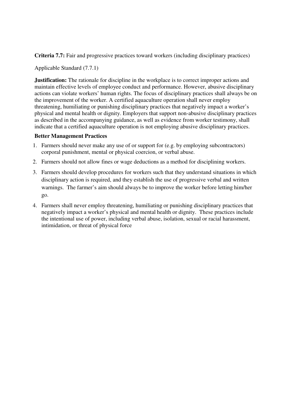**Criteria 7.7:** Fair and progressive practices toward workers (including disciplinary practices)

Applicable Standard (7.7.1)

**Justification:** The rationale for discipline in the workplace is to correct improper actions and maintain effective levels of employee conduct and performance. However, abusive disciplinary actions can violate workers' human rights. The focus of disciplinary practices shall always be on the improvement of the worker. A certified aquaculture operation shall never employ threatening, humiliating or punishing disciplinary practices that negatively impact a worker's physical and mental health or dignity. Employers that support non-abusive disciplinary practices as described in the accompanying guidance, as well as evidence from worker testimony, shall indicate that a certified aquaculture operation is not employing abusive disciplinary practices.

- 1. Farmers should never make any use of or support for (e.g. by employing subcontractors) corporal punishment, mental or physical coercion, or verbal abuse.
- 2. Farmers should not allow fines or wage deductions as a method for disciplining workers.
- 3. Farmers should develop procedures for workers such that they understand situations in which disciplinary action is required, and they establish the use of progressive verbal and written warnings. The farmer's aim should always be to improve the worker before letting him/her go.
- 4. Farmers shall never employ threatening, humiliating or punishing disciplinary practices that negatively impact a worker's physical and mental health or dignity. These practices include the intentional use of power, including verbal abuse, isolation, sexual or racial harassment, intimidation, or threat of physical force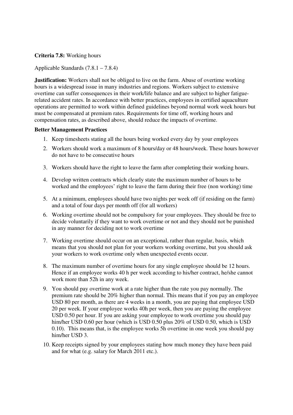## **Criteria 7.8:** Working hours

Applicable Standards (7.8.1 – 7.8.4)

**Justification:** Workers shall not be obliged to live on the farm. Abuse of overtime working hours is a widespread issue in many industries and regions. Workers subject to extensive overtime can suffer consequences in their work/life balance and are subject to higher fatiguerelated accident rates. In accordance with better practices, employees in certified aquaculture operations are permitted to work within defined guidelines beyond normal work week hours but must be compensated at premium rates. Requirements for time off, working hours and compensation rates, as described above, should reduce the impacts of overtime.

- 1. Keep timesheets stating all the hours being worked every day by your employees
- 2. Workers should work a maximum of 8 hours/day or 48 hours/week. These hours however do not have to be consecutive hours
- 3. Workers should have the right to leave the farm after completing their working hours.
- 4. Develop written contracts which clearly state the maximum number of hours to be worked and the employees' right to leave the farm during their free (non working) time
- 5. At a minimum, employees should have two nights per week off (if residing on the farm) and a total of four days per month off (for all workers)
- 6. Working overtime should not be compulsory for your employees. They should be free to decide voluntarily if they want to work overtime or not and they should not be punished in any manner for deciding not to work overtime
- 7. Working overtime should occur on an exceptional, rather than regular, basis, which means that you should not plan for your workers working overtime, but you should ask your workers to work overtime only when unexpected events occur.
- 8. The maximum number of overtime hours for any single employee should be 12 hours. Hence if an employee works 40 h per week according to his/her contract, he/she cannot work more than 52h in any week.
- 9. You should pay overtime work at a rate higher than the rate you pay normally. The premium rate should be 20% higher than normal. This means that if you pay an employee USD 80 per month, as there are 4 weeks in a month, you are paying that employee USD 20 per week. If your employee works 40h per week, then you are paying the employee USD 0.50 per hour. If you are asking your employee to work overtime you should pay him/her USD 0.60 per hour (which is USD 0.50 plus 20% of USD 0.50, which is USD 0.10). This means that, is the employee works 5h overtime in one week you should pay him/her USD 3.
- 10. Keep receipts signed by your employees stating how much money they have been paid and for what (e.g. salary for March 2011 etc.).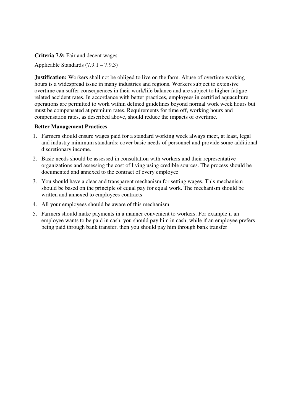**Criteria 7.9:** Fair and decent wages

Applicable Standards (7.9.1 – 7.9.3)

**Justification:** Workers shall not be obliged to live on the farm. Abuse of overtime working hours is a widespread issue in many industries and regions. Workers subject to extensive overtime can suffer consequences in their work/life balance and are subject to higher fatiguerelated accident rates. In accordance with better practices, employees in certified aquaculture operations are permitted to work within defined guidelines beyond normal work week hours but must be compensated at premium rates. Requirements for time off, working hours and compensation rates, as described above, should reduce the impacts of overtime.

- 1. Farmers should ensure wages paid for a standard working week always meet, at least, legal and industry minimum standards; cover basic needs of personnel and provide some additional discretionary income.
- 2. Basic needs should be assessed in consultation with workers and their representative organizations and assessing the cost of living using credible sources. The process should be documented and annexed to the contract of every employee
- 3. You should have a clear and transparent mechanism for setting wages. This mechanism should be based on the principle of equal pay for equal work. The mechanism should be written and annexed to employees contracts
- 4. All your employees should be aware of this mechanism
- 5. Farmers should make payments in a manner convenient to workers. For example if an employee wants to be paid in cash, you should pay him in cash, while if an employee prefers being paid through bank transfer, then you should pay him through bank transfer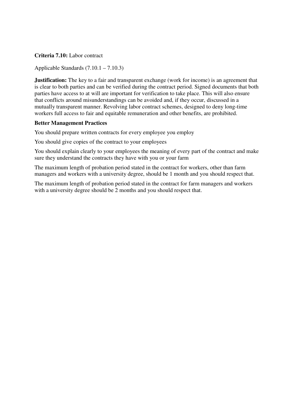**Criteria 7.10:** Labor contract

Applicable Standards (7.10.1 – 7.10.3)

**Justification:** The key to a fair and transparent exchange (work for income) is an agreement that is clear to both parties and can be verified during the contract period. Signed documents that both parties have access to at will are important for verification to take place. This will also ensure that conflicts around misunderstandings can be avoided and, if they occur, discussed in a mutually transparent manner. Revolving labor contract schemes, designed to deny long-time workers full access to fair and equitable remuneration and other benefits, are prohibited.

#### **Better Management Practices**

You should prepare written contracts for every employee you employ

You should give copies of the contract to your employees

You should explain clearly to your employees the meaning of every part of the contract and make sure they understand the contracts they have with you or your farm

The maximum length of probation period stated in the contract for workers, other than farm managers and workers with a university degree, should be 1 month and you should respect that.

The maximum length of probation period stated in the contract for farm managers and workers with a university degree should be 2 months and you should respect that.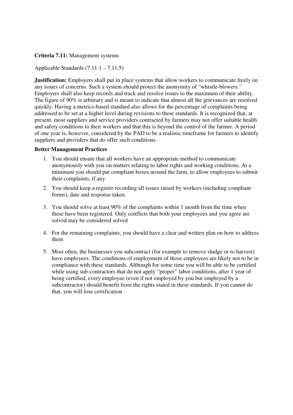**Criteria 7.11:** Management systems

Applicable Standards (7.11.1 – 7.11.5)

**Justification:** Employers shall put in place systems that allow workers to communicate freely on any issues of concerns. Such a system should protect the anonymity of "whistle-blowers." Employers shall also keep records and track and resolve issues to the maximum of their ability. The figure of 90% is arbitrary and is meant to indicate that almost all the grievances are resolved quickly. Having a metrics-based standard also allows for the percentage of complaints being addressed to be set at a higher level during revisions to these standards. It is recognized that, at present, most suppliers and service providers contracted by farmers may not offer suitable health and safety conditions to their workers and that this is beyond the control of the farmer. A period of one year is, however, considered by the PAD to be a realistic timeframe for farmers to identify suppliers and providers that do offer such conditions.

- 1. You should ensure that all workers have an appropriate method to communicate anonymously with you on matters relating to labor rights and working conditions. At a minimum you should put compliant boxes around the farm, to allow employees to submit their complaints, if any
- 2. You should keep a register recording all issues raised by workers (including compliant forms), date and response taken.
- 3. You should solve at least 90% of the complaints within 1 month from the time when these have been registered. Only conflicts that both your employees and you agree are solved may be considered solved
- 4. For the remaining complaints, you should have a clear and written plan on how to address them
- 5. Most often, the businesses you subcontract (for example to remove sludge or to harvest) have employees. The conditions of employment of those employees are likely not to be in compliance with these standards. Although for some time you will be able to be certified while using sub-contractors that do not apply "proper" labor conditions, after 1 year of being certified, every employee (even if not employed by you but employed by a subcontractor) should benefit from the rights stated in these standards. If you cannot do that, you will lose certification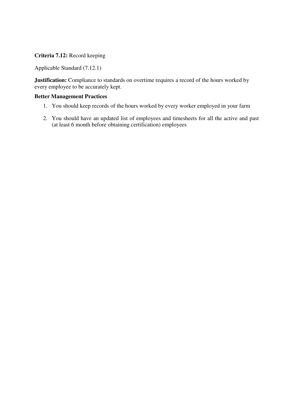**Criteria 7.12:** Record keeping

Applicable Standard (7.12.1)

**Justification:** Compliance to standards on overtime requires a record of the hours worked by every employee to be accurately kept.

- 1. You should keep records of the hours worked by every worker employed in your farm
- 2. You should have an updated list of employees and timesheets for all the active and past (at least 6 month before obtaining certification) employees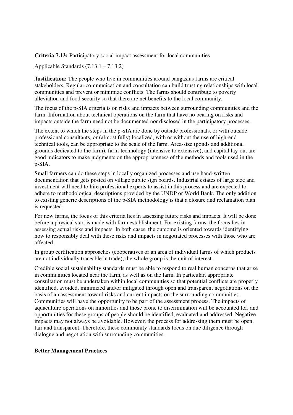**Criteria 7.13:** Participatory social impact assessment for local communities

Applicable Standards (7.13.1 – 7.13.2)

**Justification:** The people who live in communities around pangasius farms are critical stakeholders. Regular communication and consultation can build trusting relationships with local communities and prevent or minimize conflicts. The farms should contribute to poverty alleviation and food security so that there are net benefits to the local community.

The focus of the p-SIA criteria is on risks and impacts between surrounding communities and the farm. Information about technical operations on the farm that have no bearing on risks and impacts outside the farm need not be documented nor disclosed in the participatory processes.

The extent to which the steps in the p-SIA are done by outside professionals, or with outside professional consultants, or (almost fully) localized, with or without the use of high-end technical tools, can be appropriate to the scale of the farm. Area-size (ponds and additional grounds dedicated to the farm), farm-technology (intensive to extensive), and capital lay-out are good indicators to make judgments on the appropriateness of the methods and tools used in the p-SIA.

Small farmers can do these steps in locally organized processes and use hand-written documentation that gets posted on village public sign boards. Industrial estates of large size and investment will need to hire professional experts to assist in this process and are expected to adhere to methodological descriptions provided by the UNDP or World Bank. The only addition to existing generic descriptions of the p-SIA methodology is that a closure and reclamation plan is requested.

For new farms, the focus of this criteria lies in assessing future risks and impacts. It will be done before a physical start is made with farm establishment. For existing farms, the focus lies in assessing actual risks and impacts. In both cases, the outcome is oriented towards identifying how to responsibly deal with these risks and impacts in negotiated processes with those who are affected.

In group certification approaches (cooperatives or an area of individual farms of which products are not individually traceable in trade), the whole group is the unit of interest.

Credible social sustainability standards must be able to respond to real human concerns that arise in communities located near the farm, as well as on the farm. In particular, appropriate consultation must be undertaken within local communities so that potential conflicts are properly identified, avoided, minimized and/or mitigated through open and transparent negotiations on the basis of an assessment toward risks and current impacts on the surrounding communities. Communities will have the opportunity to be part of the assessment process. The impacts of aquaculture operations on minorities and those prone to discrimination will be accounted for, and opportunities for these groups of people should be identified, evaluated and addressed. Negative impacts may not always be avoidable. However, the process for addressing them must be open, fair and transparent. Therefore, these community standards focus on due diligence through dialogue and negotiation with surrounding communities.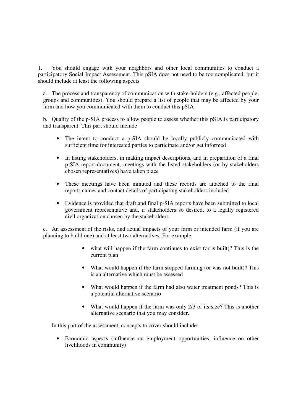1. You should engage with your neighbors and other local communities to conduct a participatory Social Impact Assessment. This pSIA does not need to be too complicated, but it should include at least the following aspects

a. The process and transparency of communication with stake-holders (e.g., affected people, groups and communities). You should prepare a list of people that may be affected by your farm and how you communicated with them to conduct this pSIA

b. Quality of the p-SIA process to allow people to assess whether this pSIA is participatory and transparent. This part should include

- The intent to conduct a p-SIA should be locally publicly communicated with sufficient time for interested parties to participate and/or get informed
- In listing stakeholders, in making impact descriptions, and in preparation of a final p-SIA report-document, meetings with the listed stakeholders (or by stakeholders chosen representatives) have taken place
- These meetings have been minuted and these records are attached to the final report; names and contact details of participating stakeholders included
- Evidence is provided that draft and final p-SIA reports have been submitted to local government representative and, if stakeholders so desired, to a legally registered civil organization chosen by the stakeholders

c. An assessment of the risks, and actual impacts of your farm or intended farm (if you are planning to build one) and at least two alternatives. For example:

- what will happen if the farm continues to exist (or is built)? This is the current plan
- What would happen if the farm stopped farming (or was not built)? This is an alternative which must be assessed
- What would happen if the farm had also water treatment ponds? This is a potential alternative scenario
- What would happen if the farm was only 2/3 of its size? This is another alternative scenario that you may consider.

In this part of the assessment, concepts to cover should include:

• Economic aspects (influence on employment opportunities, influence on other livelihoods in community)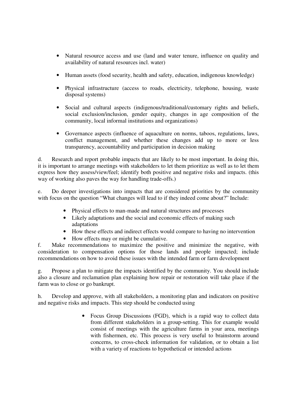- Natural resource access and use (land and water tenure, influence on quality and availability of natural resources incl. water)
- Human assets (food security, health and safety, education, indigenous knowledge)
- Physical infrastructure (access to roads, electricity, telephone, housing, waste disposal systems)
- Social and cultural aspects (indigenous/traditional/customary rights and beliefs, social exclusion/inclusion, gender equity, changes in age composition of the community, local informal institutions and organizations)
- Governance aspects (influence of aquaculture on norms, taboos, regulations, laws, conflict management, and whether these changes add up to more or less transparency, accountability and participation in decision making

d. Research and report probable impacts that are likely to be most important. In doing this, it is important to arrange meetings with stakeholders to let them prioritize as well as to let them express how they assess/view/feel; identify both positive and negative risks and impacts. (this way of working also paves the way for handling trade-offs.)

e. Do deeper investigations into impacts that are considered priorities by the community with focus on the question "What changes will lead to if they indeed come about?" Include:

- Physical effects to man-made and natural structures and processes
- Likely adaptations and the social and economic effects of making such adaptations
- How these effects and indirect effects would compare to having no intervention
- How effects may or might be cumulative.

f. Make recommendations to maximize the positive and minimize the negative, with consideration to compensation options for those lands and people impacted; include recommendations on how to avoid these issues with the intended farm or farm development

g. Propose a plan to mitigate the impacts identified by the community. You should include also a closure and reclamation plan explaining how repair or restoration will take place if the farm was to close or go bankrupt.

h. Develop and approve, with all stakeholders, a monitoring plan and indicators on positive and negative risks and impacts. This step should be conducted using

> • Focus Group Discussions (FGD), which is a rapid way to collect data from different stakeholders in a group-setting. This for example would consist of meetings with the agriculture farms in your area, meetings with fishermen, etc. This process is very useful to brainstorm around concerns, to cross-check information for validation, or to obtain a list with a variety of reactions to hypothetical or intended actions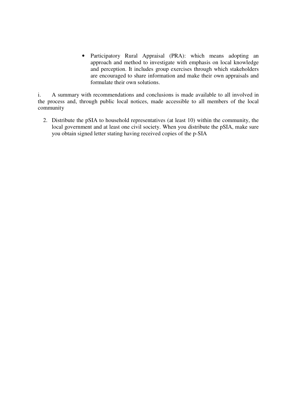• Participatory Rural Appraisal (PRA): which means adopting an approach and method to investigate with emphasis on local knowledge and perception. It includes group exercises through which stakeholders are encouraged to share information and make their own appraisals and formulate their own solutions.

i. A summary with recommendations and conclusions is made available to all involved in the process and, through public local notices, made accessible to all members of the local community

2. Distribute the pSIA to household representatives (at least 10) within the community, the local government and at least one civil society. When you distribute the pSIA, make sure you obtain signed letter stating having received copies of the p-SIA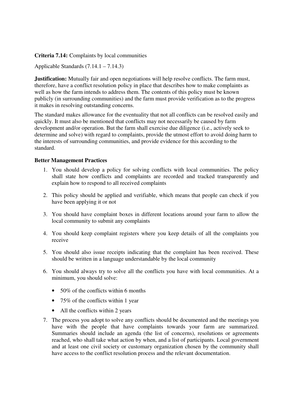**Criteria 7.14:** Complaints by local communities

Applicable Standards (7.14.1 – 7.14.3)

**Justification:** Mutually fair and open negotiations will help resolve conflicts. The farm must, therefore, have a conflict resolution policy in place that describes how to make complaints as well as how the farm intends to address them. The contents of this policy must be known publicly (in surrounding communities) and the farm must provide verification as to the progress it makes in resolving outstanding concerns.

The standard makes allowance for the eventuality that not all conflicts can be resolved easily and quickly. It must also be mentioned that conflicts may not necessarily be caused by farm development and/or operation. But the farm shall exercise due diligence (i.e., actively seek to determine and solve) with regard to complaints, provide the utmost effort to avoid doing harm to the interests of surrounding communities, and provide evidence for this according to the standard.

- 1. You should develop a policy for solving conflicts with local communities. The policy shall state how conflicts and complaints are recorded and tracked transparently and explain how to respond to all received complaints
- 2. This policy should be applied and verifiable, which means that people can check if you have been applying it or not
- 3. You should have complaint boxes in different locations around your farm to allow the local community to submit any complaints
- 4. You should keep complaint registers where you keep details of all the complaints you receive
- 5. You should also issue receipts indicating that the complaint has been received. These should be written in a language understandable by the local community
- 6. You should always try to solve all the conflicts you have with local communities. At a minimum, you should solve:
	- 50% of the conflicts within 6 months
	- 75% of the conflicts within 1 year
	- All the conflicts within 2 years
- 7. The process you adopt to solve any conflicts should be documented and the meetings you have with the people that have complaints towards your farm are summarized. Summaries should include an agenda (the list of concerns), resolutions or agreements reached, who shall take what action by when, and a list of participants. Local government and at least one civil society or customary organization chosen by the community shall have access to the conflict resolution process and the relevant documentation.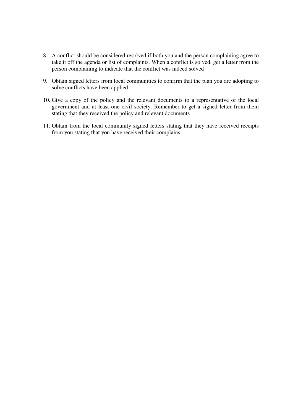- 8. A conflict should be considered resolved if both you and the person complaining agree to take it off the agenda or list of complaints. When a conflict is solved, get a letter from the person complaining to indicate that the conflict was indeed solved
- 9. Obtain signed letters from local communities to confirm that the plan you are adopting to solve conflicts have been applied
- 10. Give a copy of the policy and the relevant documents to a representative of the local government and at least one civil society. Remember to get a signed letter from them stating that they received the policy and relevant documents
- 11. Obtain from the local community signed letters stating that they have received receipts from you stating that you have received their complains